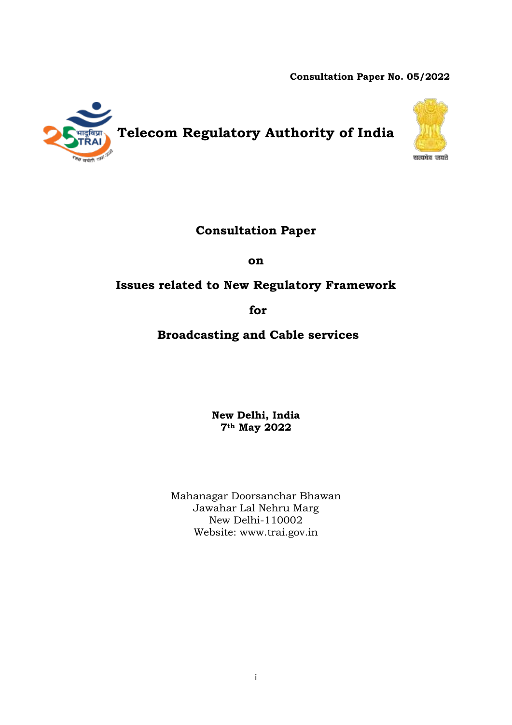**Consultation Paper No. 05/2022**



# **Telecom Regulatory Authority of India**



## **Consultation Paper**

**on**

## **Issues related to New Regulatory Framework**

## **for**

## **Broadcasting and Cable services**

**New Delhi, India 7th May 2022**

Mahanagar Doorsanchar Bhawan Jawahar Lal Nehru Marg New Delhi-110002 Website: [www.trai.gov.in](http://www.trai.gov.in/)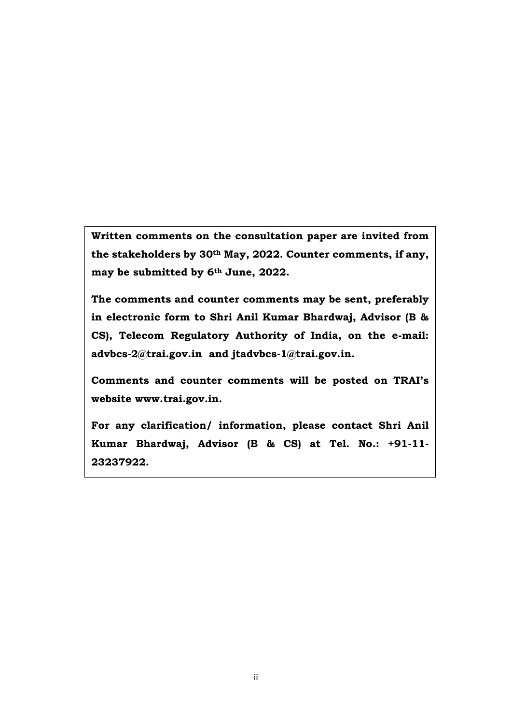**Written comments on the consultation paper are invited from the stakeholders by 30th May, 2022. Counter comments, if any, may be submitted by 6th June, 2022.** 

**The comments and counter comments may be sent, preferably in electronic form to Shri Anil Kumar Bhardwaj, Advisor (B & CS), Telecom Regulatory Authority of India, on the e-mail: [advbcs-2@trai.gov.in](mailto:advbcs-2@trai.gov.in) and [jtadvbcs-1@trai.gov.in.](mailto:jtadvbcs-1@trai.gov.in)** 

**Comments and counter comments will be posted on TRAI's website [www.trai.gov.in.](http://www.trai.gov.in/)**

**For any clarification/ information, please contact Shri Anil Kumar Bhardwaj, Advisor (B & CS) at Tel. No.: +91-11- 23237922.**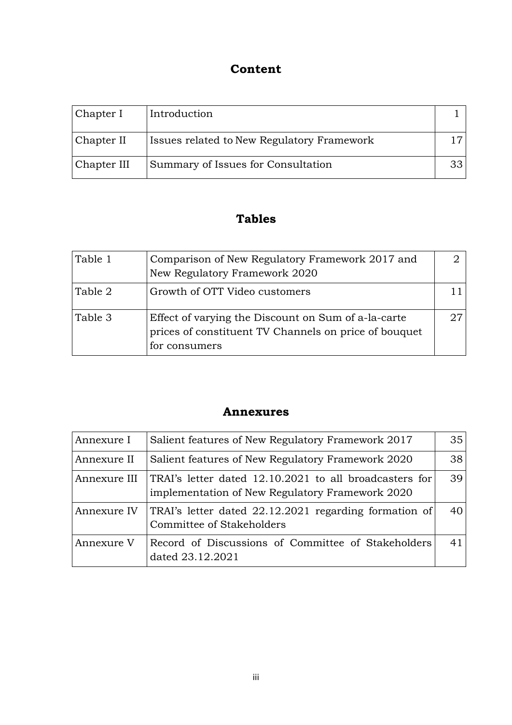# **Content**

| Chapter I   | Introduction                                      |  |
|-------------|---------------------------------------------------|--|
| Chapter II  | <b>Issues related to New Regulatory Framework</b> |  |
| Chapter III | Summary of Issues for Consultation                |  |

## **Tables**

| Table 1 | Comparison of New Regulatory Framework 2017 and<br>New Regulatory Framework 2020                                              |  |
|---------|-------------------------------------------------------------------------------------------------------------------------------|--|
| Table 2 | Growth of OTT Video customers                                                                                                 |  |
| Table 3 | Effect of varying the Discount on Sum of a-la-carte<br>prices of constituent TV Channels on price of bouquet<br>for consumers |  |

## **Annexures**

| Annexure I   | Salient features of New Regulatory Framework 2017                                                         | 35 |
|--------------|-----------------------------------------------------------------------------------------------------------|----|
| Annexure II  | Salient features of New Regulatory Framework 2020                                                         | 38 |
| Annexure III | TRAI's letter dated 12.10.2021 to all broadcasters for<br>implementation of New Regulatory Framework 2020 | 39 |
| Annexure IV  | TRAI's letter dated 22.12.2021 regarding formation of<br>Committee of Stakeholders                        | 40 |
| Annexure V   | Record of Discussions of Committee of Stakeholders<br>dated 23.12.2021                                    | 41 |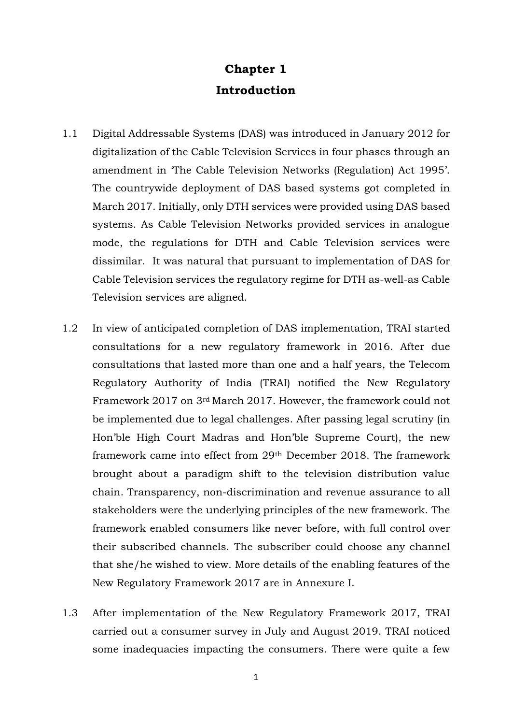# **Chapter 1 Introduction**

- 1.1 Digital Addressable Systems (DAS) was introduced in January 2012 for digitalization of the Cable Television Services in four phases through an amendment in 'The Cable Television Networks (Regulation) Act 1995'. The countrywide deployment of DAS based systems got completed in March 2017. Initially, only DTH services were provided using DAS based systems. As Cable Television Networks provided services in analogue mode, the regulations for DTH and Cable Television services were dissimilar. It was natural that pursuant to implementation of DAS for Cable Television services the regulatory regime for DTH as-well-as Cable Television services are aligned.
- 1.2 In view of anticipated completion of DAS implementation, TRAI started consultations for a new regulatory framework in 2016. After due consultations that lasted more than one and a half years, the Telecom Regulatory Authority of India (TRAI) notified the New Regulatory Framework 2017 on 3rd March 2017. However, the framework could not be implemented due to legal challenges. After passing legal scrutiny (in Hon'ble High Court Madras and Hon'ble Supreme Court), the new framework came into effect from 29th December 2018. The framework brought about a paradigm shift to the television distribution value chain. Transparency, non-discrimination and revenue assurance to all stakeholders were the underlying principles of the new framework. The framework enabled consumers like never before, with full control over their subscribed channels. The subscriber could choose any channel that she/he wished to view. More details of the enabling features of the New Regulatory Framework 2017 are in Annexure I.
- 1.3 After implementation of the New Regulatory Framework 2017, TRAI carried out a consumer survey in July and August 2019. TRAI noticed some inadequacies impacting the consumers. There were quite a few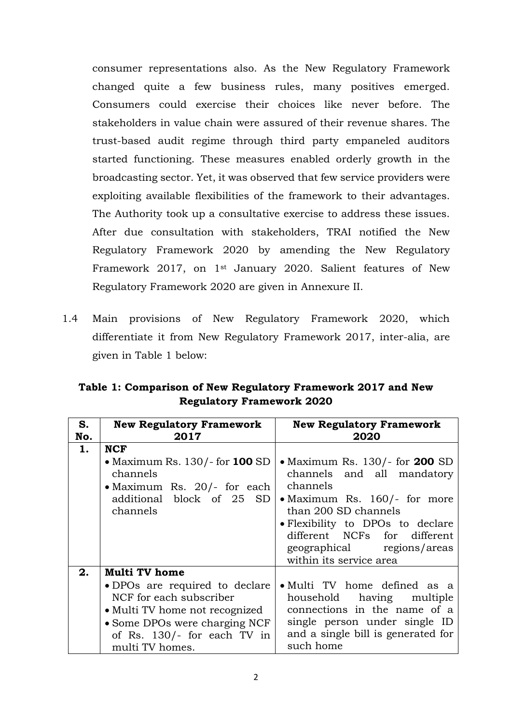consumer representations also. As the New Regulatory Framework changed quite a few business rules, many positives emerged. Consumers could exercise their choices like never before. The stakeholders in value chain were assured of their revenue shares. The trust-based audit regime through third party empaneled auditors started functioning. These measures enabled orderly growth in the broadcasting sector. Yet, it was observed that few service providers were exploiting available flexibilities of the framework to their advantages. The Authority took up a consultative exercise to address these issues. After due consultation with stakeholders, TRAI notified the New Regulatory Framework 2020 by amending the New Regulatory Framework 2017, on 1st January 2020. Salient features of New Regulatory Framework 2020 are given in Annexure II.

1.4 Main provisions of New Regulatory Framework 2020, which differentiate it from New Regulatory Framework 2017, inter-alia, are given in Table 1 below:

| Table 1: Comparison of New Regulatory Framework 2017 and New |  |
|--------------------------------------------------------------|--|
| <b>Regulatory Framework 2020</b>                             |  |

| S.  | <b>New Regulatory Framework</b>                                                             | <b>New Regulatory Framework</b>                                                                                           |
|-----|---------------------------------------------------------------------------------------------|---------------------------------------------------------------------------------------------------------------------------|
| No. | 2017                                                                                        | 2020                                                                                                                      |
| 1.  | <b>NCF</b>                                                                                  |                                                                                                                           |
|     | • Maximum Rs. 130/- for <b>100</b> SD<br>channels<br>• Maximum Rs. $20/-$ for each          | • Maximum Rs. 130/- for <b>200</b> SD<br>channels and all mandatory<br>channels                                           |
|     | additional block of 25 SD<br>channels                                                       | • Maximum Rs. $160/-$ for more<br>than 200 SD channels                                                                    |
|     |                                                                                             | • Flexibility to DPOs to declare<br>different NCFs for different<br>geographical regions/areas<br>within its service area |
| 2.  | <b>Multi TV home</b>                                                                        |                                                                                                                           |
|     | • DPOs are required to declare<br>NCF for each subscriber<br>• Multi TV home not recognized | • Multi TV home defined as a<br>household having multiple<br>connections in the name of a                                 |
|     | • Some DPOs were charging NCF<br>of Rs. 130/- for each TV in<br>multi TV homes.             | single person under single ID<br>and a single bill is generated for<br>such home                                          |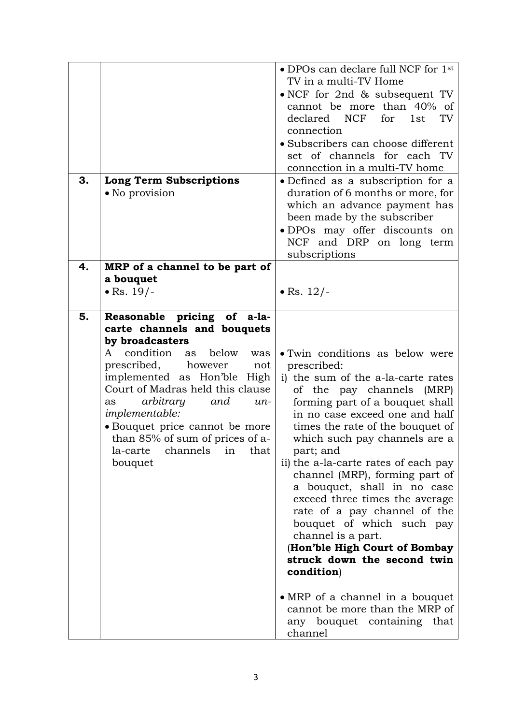| 3. | <b>Long Term Subscriptions</b><br>• No provision                                                                                                                                                                                                                                                                                                                                                               | • DPOs can declare full NCF for 1st<br>TV in a multi-TV Home<br>• NCF for 2nd & subsequent TV<br>cannot be more than 40% of<br>declared NCF<br>TV<br>for<br>1st<br>connection<br>· Subscribers can choose different<br>set of channels for each TV<br>connection in a multi-TV home<br>• Defined as a subscription for a<br>duration of 6 months or more, for<br>which an advance payment has<br>been made by the subscriber<br>· DPOs may offer discounts on<br>NCF and DRP on long term                                                                                                                                                                                                           |
|----|----------------------------------------------------------------------------------------------------------------------------------------------------------------------------------------------------------------------------------------------------------------------------------------------------------------------------------------------------------------------------------------------------------------|-----------------------------------------------------------------------------------------------------------------------------------------------------------------------------------------------------------------------------------------------------------------------------------------------------------------------------------------------------------------------------------------------------------------------------------------------------------------------------------------------------------------------------------------------------------------------------------------------------------------------------------------------------------------------------------------------------|
| 4. | MRP of a channel to be part of<br>a bouquet<br>• Rs. $19/-$                                                                                                                                                                                                                                                                                                                                                    | subscriptions<br>• Rs. $12/-$                                                                                                                                                                                                                                                                                                                                                                                                                                                                                                                                                                                                                                                                       |
| 5. | Reasonable pricing of a-la-<br>carte channels and bouquets<br>by broadcasters<br>condition<br>below<br>A<br>as<br>was<br>prescribed,<br>however<br>not<br>implemented as Hon'ble<br>High<br>Court of Madras held this clause<br>arbitrary<br>and<br>$un-$<br>as<br><i>implementable:</i><br>• Bouquet price cannot be more<br>than 85% of sum of prices of a-<br>channels<br>la-carte<br>that<br>in<br>bouquet | • Twin conditions as below were<br>prescribed:<br>i) the sum of the a-la-carte rates<br>of the pay channels (MRP)<br>forming part of a bouquet shall<br>in no case exceed one and half<br>times the rate of the bouquet of<br>which such pay channels are a<br>part; and<br>ii) the a-la-carte rates of each pay<br>channel (MRP), forming part of<br>a bouquet, shall in no case<br>exceed three times the average<br>rate of a pay channel of the<br>bouquet of which such pay<br>channel is a part.<br>(Hon'ble High Court of Bombay<br>struck down the second twin<br>condition)<br>• MRP of a channel in a bouquet<br>cannot be more than the MRP of<br>any bouquet containing that<br>channel |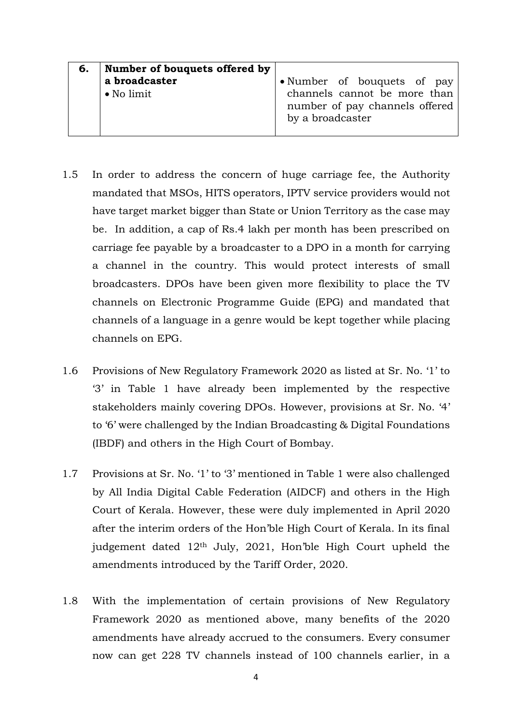| 6. | Number of bouquets offered by |                                                                                    |
|----|-------------------------------|------------------------------------------------------------------------------------|
|    | a broadcaster                 | • Number of bouquets of pay                                                        |
|    | ∣ • No limit                  | channels cannot be more than<br>number of pay channels offered<br>by a broadcaster |

- 1.5 In order to address the concern of huge carriage fee, the Authority mandated that MSOs, HITS operators, IPTV service providers would not have target market bigger than State or Union Territory as the case may be. In addition, a cap of Rs.4 lakh per month has been prescribed on carriage fee payable by a broadcaster to a DPO in a month for carrying a channel in the country. This would protect interests of small broadcasters. DPOs have been given more flexibility to place the TV channels on Electronic Programme Guide (EPG) and mandated that channels of a language in a genre would be kept together while placing channels on EPG.
- 1.6 Provisions of New Regulatory Framework 2020 as listed at Sr. No. '1' to '3' in Table 1 have already been implemented by the respective stakeholders mainly covering DPOs. However, provisions at Sr. No. '4' to '6' were challenged by the Indian Broadcasting & Digital Foundations (IBDF) and others in the High Court of Bombay.
- 1.7 Provisions at Sr. No. '1' to '3' mentioned in Table 1 were also challenged by All India Digital Cable Federation (AIDCF) and others in the High Court of Kerala. However, these were duly implemented in April 2020 after the interim orders of the Hon'ble High Court of Kerala. In its final judgement dated 12th July, 2021, Hon'ble High Court upheld the amendments introduced by the Tariff Order, 2020.
- 1.8 With the implementation of certain provisions of New Regulatory Framework 2020 as mentioned above, many benefits of the 2020 amendments have already accrued to the consumers. Every consumer now can get 228 TV channels instead of 100 channels earlier, in a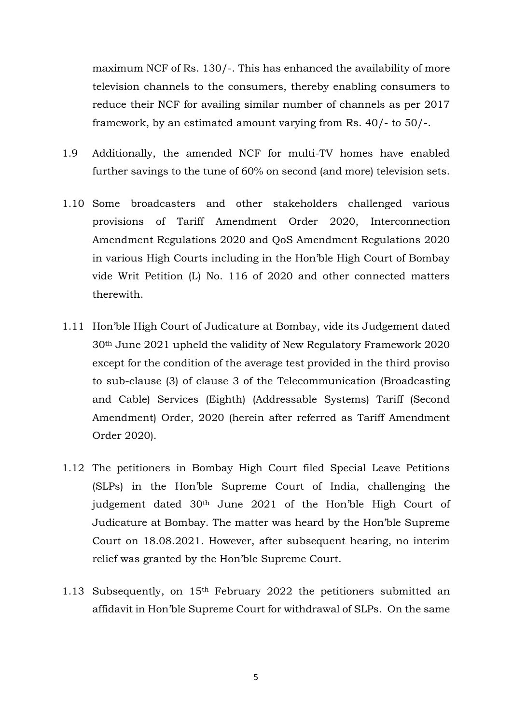maximum NCF of Rs. 130/-. This has enhanced the availability of more television channels to the consumers, thereby enabling consumers to reduce their NCF for availing similar number of channels as per 2017 framework, by an estimated amount varying from Rs. 40/- to 50/-.

- 1.9 Additionally, the amended NCF for multi-TV homes have enabled further savings to the tune of 60% on second (and more) television sets.
- 1.10 Some broadcasters and other stakeholders challenged various provisions of Tariff Amendment Order 2020, Interconnection Amendment Regulations 2020 and QoS Amendment Regulations 2020 in various High Courts including in the Hon'ble High Court of Bombay vide Writ Petition (L) No. 116 of 2020 and other connected matters therewith.
- 1.11 Hon'ble High Court of Judicature at Bombay, vide its Judgement dated 30th June 2021 upheld the validity of New Regulatory Framework 2020 except for the condition of the average test provided in the third proviso to sub-clause (3) of clause 3 of the Telecommunication (Broadcasting and Cable) Services (Eighth) (Addressable Systems) Tariff (Second Amendment) Order, 2020 (herein after referred as Tariff Amendment Order 2020).
- 1.12 The petitioners in Bombay High Court filed Special Leave Petitions (SLPs) in the Hon'ble Supreme Court of India, challenging the judgement dated 30<sup>th</sup> June 2021 of the Hon'ble High Court of Judicature at Bombay. The matter was heard by the Hon'ble Supreme Court on 18.08.2021. However, after subsequent hearing, no interim relief was granted by the Hon'ble Supreme Court.
- 1.13 Subsequently, on 15th February 2022 the petitioners submitted an affidavit in Hon'ble Supreme Court for withdrawal of SLPs. On the same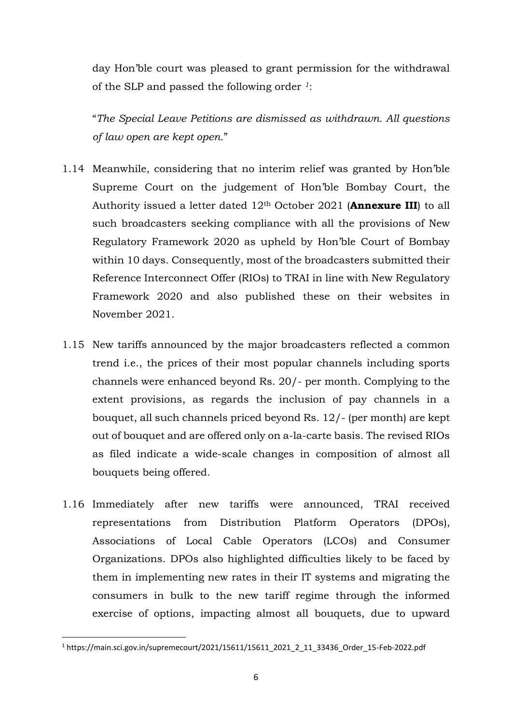day Hon'ble court was pleased to grant permission for the withdrawal of the SLP and passed the following order *1*:

"*The Special Leave Petitions are dismissed as withdrawn. All questions of law open are kept open*."

- 1.14 Meanwhile, considering that no interim relief was granted by Hon'ble Supreme Court on the judgement of Hon'ble Bombay Court, the Authority issued a letter dated 12th October 2021 (**Annexure III**) to all such broadcasters seeking compliance with all the provisions of New Regulatory Framework 2020 as upheld by Hon'ble Court of Bombay within 10 days. Consequently, most of the broadcasters submitted their Reference Interconnect Offer (RIOs) to TRAI in line with New Regulatory Framework 2020 and also published these on their websites in November 2021.
- 1.15 New tariffs announced by the major broadcasters reflected a common trend i.e., the prices of their most popular channels including sports channels were enhanced beyond Rs. 20/- per month. Complying to the extent provisions, as regards the inclusion of pay channels in a bouquet, all such channels priced beyond Rs. 12/- (per month) are kept out of bouquet and are offered only on a-la-carte basis. The revised RIOs as filed indicate a wide-scale changes in composition of almost all bouquets being offered.
- 1.16 Immediately after new tariffs were announced, TRAI received representations from Distribution Platform Operators (DPOs), Associations of Local Cable Operators (LCOs) and Consumer Organizations. DPOs also highlighted difficulties likely to be faced by them in implementing new rates in their IT systems and migrating the consumers in bulk to the new tariff regime through the informed exercise of options, impacting almost all bouquets, due to upward

<sup>1</sup> https://main.sci.gov.in/supremecourt/2021/15611/15611\_2021\_2\_11\_33436\_Order\_15-Feb-2022.pdf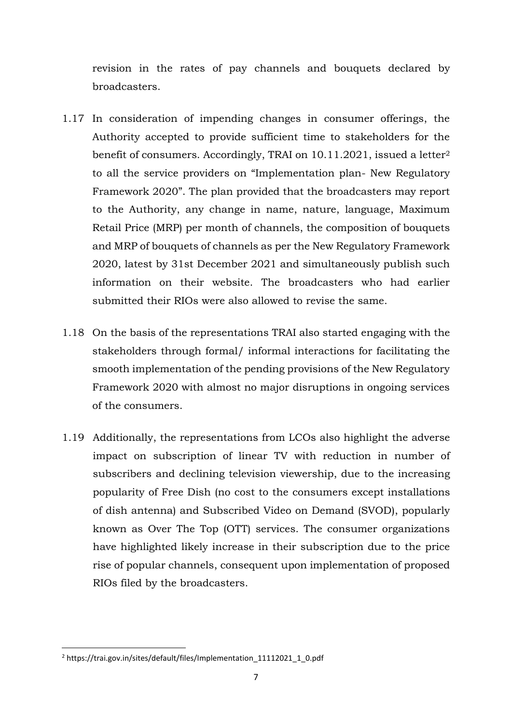revision in the rates of pay channels and bouquets declared by broadcasters.

- 1.17 In consideration of impending changes in consumer offerings, the Authority accepted to provide sufficient time to stakeholders for the benefit of consumers. Accordingly, TRAI on 10.11.2021, issued a letter<sup>2</sup> to all the service providers on "Implementation plan- New Regulatory Framework 2020". The plan provided that the broadcasters may report to the Authority, any change in name, nature, language, Maximum Retail Price (MRP) per month of channels, the composition of bouquets and MRP of bouquets of channels as per the New Regulatory Framework 2020, latest by 31st December 2021 and simultaneously publish such information on their website. The broadcasters who had earlier submitted their RIOs were also allowed to revise the same.
- 1.18 On the basis of the representations TRAI also started engaging with the stakeholders through formal/ informal interactions for facilitating the smooth implementation of the pending provisions of the New Regulatory Framework 2020 with almost no major disruptions in ongoing services of the consumers.
- 1.19 Additionally, the representations from LCOs also highlight the adverse impact on subscription of linear TV with reduction in number of subscribers and declining television viewership, due to the increasing popularity of Free Dish (no cost to the consumers except installations of dish antenna) and Subscribed Video on Demand (SVOD), popularly known as Over The Top (OTT) services. The consumer organizations have highlighted likely increase in their subscription due to the price rise of popular channels, consequent upon implementation of proposed RIOs filed by the broadcasters.

<sup>2</sup> https://trai.gov.in/sites/default/files/Implementation\_11112021\_1\_0.pdf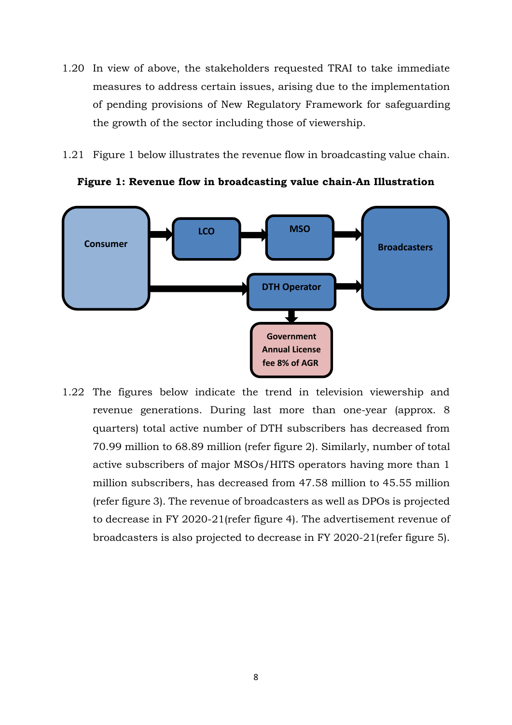- 1.20 In view of above, the stakeholders requested TRAI to take immediate measures to address certain issues, arising due to the implementation of pending provisions of New Regulatory Framework for safeguarding the growth of the sector including those of viewership.
- 1.21 Figure 1 below illustrates the revenue flow in broadcasting value chain.



**Figure 1: Revenue flow in broadcasting value chain-An Illustration**

1.22 The figures below indicate the trend in television viewership and revenue generations. During last more than one-year (approx. 8 quarters) total active number of DTH subscribers has decreased from 70.99 million to 68.89 million (refer figure 2). Similarly, number of total active subscribers of major MSOs/HITS operators having more than 1 million subscribers, has decreased from 47.58 million to 45.55 million (refer figure 3). The revenue of broadcasters as well as DPOs is projected to decrease in FY 2020-21(refer figure 4). The advertisement revenue of broadcasters is also projected to decrease in FY 2020-21(refer figure 5).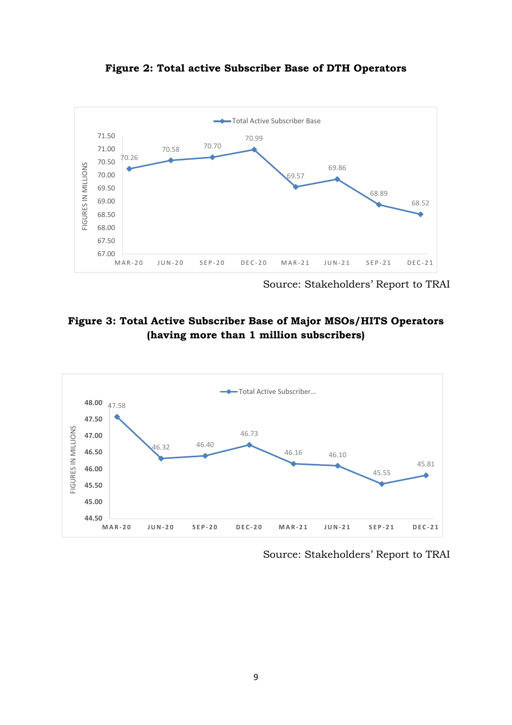



Source: Stakeholders' Report to TRAI

## **Figure 3: Total Active Subscriber Base of Major MSOs/HITS Operators (having more than 1 million subscribers)**



Source: Stakeholders' Report to TRAI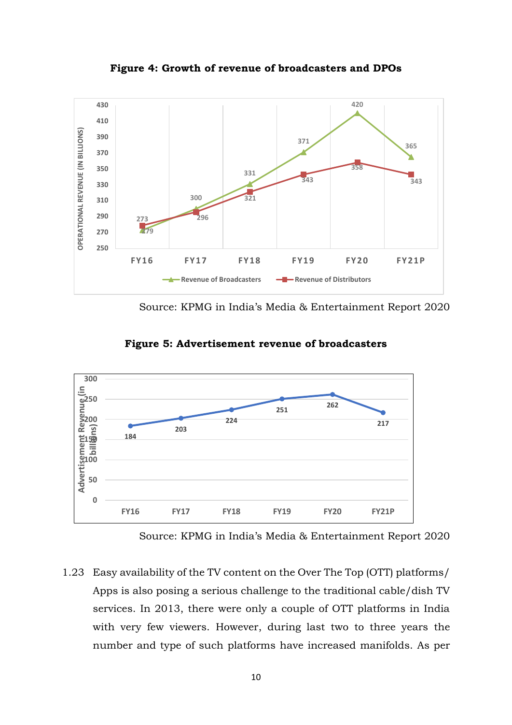

**Figure 4: Growth of revenue of broadcasters and DPOs**

Source: KPMG in India's Media & Entertainment Report 2020



**Figure 5: Advertisement revenue of broadcasters**

Source: KPMG in India's Media & Entertainment Report 2020

1.23 Easy availability of the TV content on the Over The Top (OTT) platforms/ Apps is also posing a serious challenge to the traditional cable/dish TV services. In 2013, there were only a couple of OTT platforms in India with very few viewers. However, during last two to three years the number and type of such platforms have increased manifolds. As per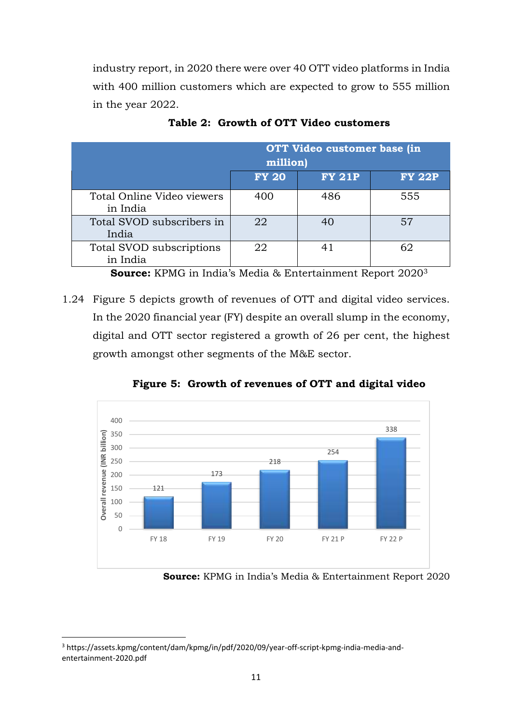industry report, in 2020 there were over 40 OTT video platforms in India with 400 million customers which are expected to grow to 555 million in the year 2022.

|                                        | OTT Video customer base (in<br>million) |               |               |  |
|----------------------------------------|-----------------------------------------|---------------|---------------|--|
|                                        | <b>FY 20</b>                            | <b>FY 21P</b> | <b>FY 22P</b> |  |
| Total Online Video viewers<br>in India | 400                                     | 486           | 555           |  |
| Total SVOD subscribers in<br>India     | 22                                      | 40            | 57            |  |
| Total SVOD subscriptions<br>in India   | 22                                      | 41            | 62            |  |

**Table 2: Growth of OTT Video customers**

**Source:** KPMG in India's Media & Entertainment Report 2020<sup>3</sup>

1.24 Figure 5 depicts growth of revenues of OTT and digital video services. In the 2020 financial year (FY) despite an overall slump in the economy, digital and OTT sector registered a growth of 26 per cent, the highest growth amongst other segments of the M&E sector.



**Figure 5: Growth of revenues of OTT and digital video**

**Source:** KPMG in India's Media & Entertainment Report 2020

<sup>3</sup> [https://assets.kpmg/content/dam/kpmg/in/pdf/2020/09/year-off-script-kpmg-india-media-and](https://assets.kpmg/content/dam/kpmg/in/pdf/2020/09/year-off-script-kpmg-india-media-and-entertainment-2020.pdf)[entertainment-2020.pdf](https://assets.kpmg/content/dam/kpmg/in/pdf/2020/09/year-off-script-kpmg-india-media-and-entertainment-2020.pdf)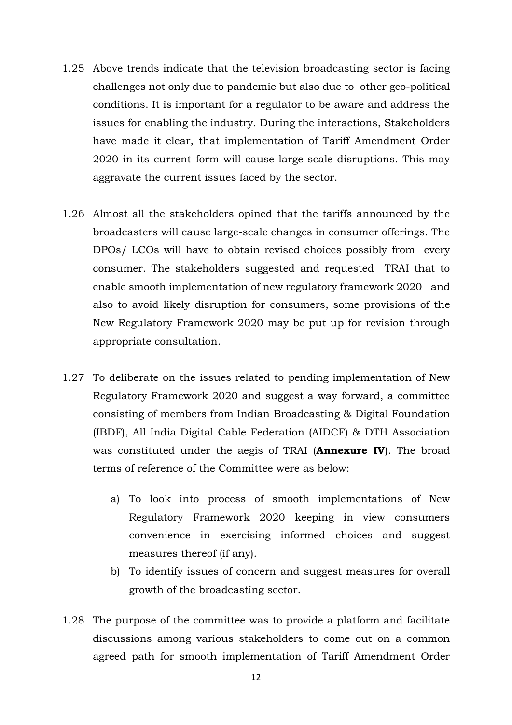- 1.25 Above trends indicate that the television broadcasting sector is facing challenges not only due to pandemic but also due to other geo-political conditions. It is important for a regulator to be aware and address the issues for enabling the industry. During the interactions, Stakeholders have made it clear, that implementation of Tariff Amendment Order 2020 in its current form will cause large scale disruptions. This may aggravate the current issues faced by the sector.
- 1.26 Almost all the stakeholders opined that the tariffs announced by the broadcasters will cause large-scale changes in consumer offerings. The DPOs/ LCOs will have to obtain revised choices possibly from every consumer. The stakeholders suggested and requested TRAI that to enable smooth implementation of new regulatory framework 2020 and also to avoid likely disruption for consumers, some provisions of the New Regulatory Framework 2020 may be put up for revision through appropriate consultation.
- 1.27 To deliberate on the issues related to pending implementation of New Regulatory Framework 2020 and suggest a way forward, a committee consisting of members from Indian Broadcasting & Digital Foundation (IBDF), All India Digital Cable Federation (AIDCF) & DTH Association was constituted under the aegis of TRAI (**Annexure IV**). The broad terms of reference of the Committee were as below:
	- a) To look into process of smooth implementations of New Regulatory Framework 2020 keeping in view consumers convenience in exercising informed choices and suggest measures thereof (if any).
	- b) To identify issues of concern and suggest measures for overall growth of the broadcasting sector.
- 1.28 The purpose of the committee was to provide a platform and facilitate discussions among various stakeholders to come out on a common agreed path for smooth implementation of Tariff Amendment Order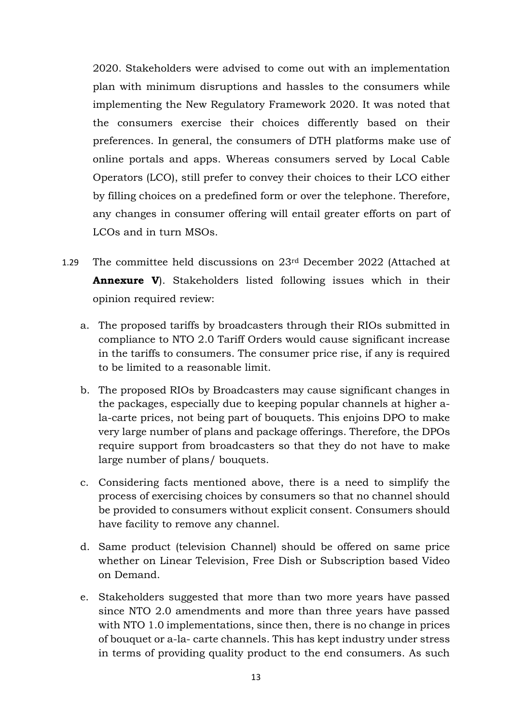2020. Stakeholders were advised to come out with an implementation plan with minimum disruptions and hassles to the consumers while implementing the New Regulatory Framework 2020. It was noted that the consumers exercise their choices differently based on their preferences. In general, the consumers of DTH platforms make use of online portals and apps. Whereas consumers served by Local Cable Operators (LCO), still prefer to convey their choices to their LCO either by filling choices on a predefined form or over the telephone. Therefore, any changes in consumer offering will entail greater efforts on part of LCOs and in turn MSOs.

- 1.29 The committee held discussions on 23rd December 2022 (Attached at **Annexure V**). Stakeholders listed following issues which in their opinion required review:
	- a. The proposed tariffs by broadcasters through their RIOs submitted in compliance to NTO 2.0 Tariff Orders would cause significant increase in the tariffs to consumers. The consumer price rise, if any is required to be limited to a reasonable limit.
	- b. The proposed RIOs by Broadcasters may cause significant changes in the packages, especially due to keeping popular channels at higher ala-carte prices, not being part of bouquets. This enjoins DPO to make very large number of plans and package offerings. Therefore, the DPOs require support from broadcasters so that they do not have to make large number of plans/ bouquets.
	- c. Considering facts mentioned above, there is a need to simplify the process of exercising choices by consumers so that no channel should be provided to consumers without explicit consent. Consumers should have facility to remove any channel.
	- d. Same product (television Channel) should be offered on same price whether on Linear Television, Free Dish or Subscription based Video on Demand.
	- e. Stakeholders suggested that more than two more years have passed since NTO 2.0 amendments and more than three years have passed with NTO 1.0 implementations, since then, there is no change in prices of bouquet or a-la- carte channels. This has kept industry under stress in terms of providing quality product to the end consumers. As such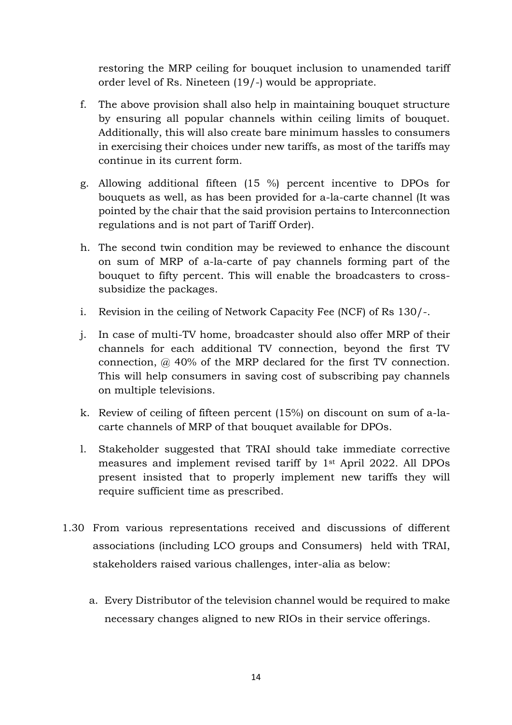restoring the MRP ceiling for bouquet inclusion to unamended tariff order level of Rs. Nineteen (19/-) would be appropriate.

- f. The above provision shall also help in maintaining bouquet structure by ensuring all popular channels within ceiling limits of bouquet. Additionally, this will also create bare minimum hassles to consumers in exercising their choices under new tariffs, as most of the tariffs may continue in its current form.
- g. Allowing additional fifteen (15 %) percent incentive to DPOs for bouquets as well, as has been provided for a-la-carte channel (It was pointed by the chair that the said provision pertains to Interconnection regulations and is not part of Tariff Order).
- h. The second twin condition may be reviewed to enhance the discount on sum of MRP of a-la-carte of pay channels forming part of the bouquet to fifty percent. This will enable the broadcasters to crosssubsidize the packages.
- i. Revision in the ceiling of Network Capacity Fee (NCF) of Rs 130/-.
- j. In case of multi-TV home, broadcaster should also offer MRP of their channels for each additional TV connection, beyond the first TV connection, @ 40% of the MRP declared for the first TV connection. This will help consumers in saving cost of subscribing pay channels on multiple televisions.
- k. Review of ceiling of fifteen percent (15%) on discount on sum of a-lacarte channels of MRP of that bouquet available for DPOs.
- l. Stakeholder suggested that TRAI should take immediate corrective measures and implement revised tariff by 1st April 2022. All DPOs present insisted that to properly implement new tariffs they will require sufficient time as prescribed.
- 1.30 From various representations received and discussions of different associations (including LCO groups and Consumers) held with TRAI, stakeholders raised various challenges, inter-alia as below:
	- a. Every Distributor of the television channel would be required to make necessary changes aligned to new RIOs in their service offerings.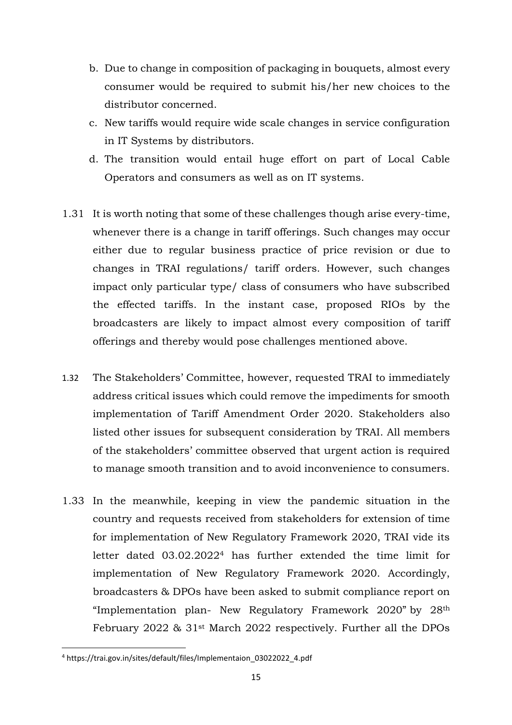- b. Due to change in composition of packaging in bouquets, almost every consumer would be required to submit his/her new choices to the distributor concerned.
- c. New tariffs would require wide scale changes in service configuration in IT Systems by distributors.
- d. The transition would entail huge effort on part of Local Cable Operators and consumers as well as on IT systems.
- 1.31 It is worth noting that some of these challenges though arise every-time, whenever there is a change in tariff offerings. Such changes may occur either due to regular business practice of price revision or due to changes in TRAI regulations/ tariff orders. However, such changes impact only particular type/ class of consumers who have subscribed the effected tariffs. In the instant case, proposed RIOs by the broadcasters are likely to impact almost every composition of tariff offerings and thereby would pose challenges mentioned above.
- 1.32 The Stakeholders' Committee, however, requested TRAI to immediately address critical issues which could remove the impediments for smooth implementation of Tariff Amendment Order 2020. Stakeholders also listed other issues for subsequent consideration by TRAI. All members of the stakeholders' committee observed that urgent action is required to manage smooth transition and to avoid inconvenience to consumers.
- 1.33 In the meanwhile, keeping in view the pandemic situation in the country and requests received from stakeholders for extension of time for implementation of New Regulatory Framework 2020, TRAI vide its letter dated 03.02.2022<sup>4</sup> has further extended the time limit for implementation of New Regulatory Framework 2020. Accordingly, broadcasters & DPOs have been asked to submit compliance report on "Implementation plan- New Regulatory Framework 2020" by 28th February 2022 & 31st March 2022 respectively. Further all the DPOs

<sup>4</sup> https://trai.gov.in/sites/default/files/Implementaion\_03022022\_4.pdf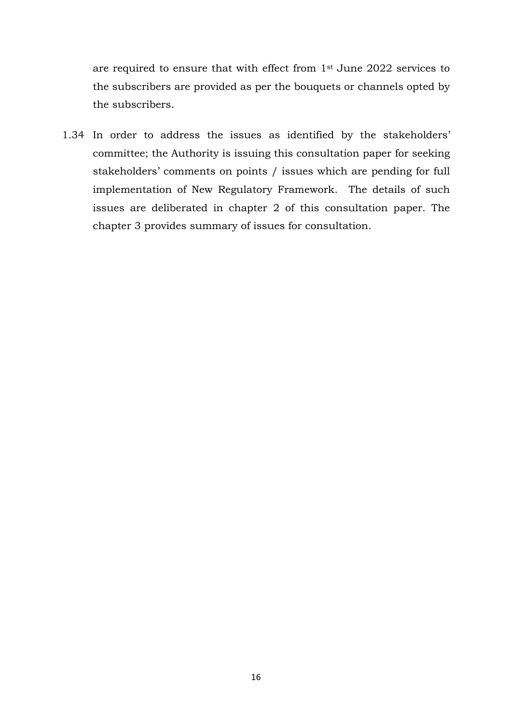are required to ensure that with effect from 1st June 2022 services to the subscribers are provided as per the bouquets or channels opted by the subscribers.

1.34 In order to address the issues as identified by the stakeholders' committee; the Authority is issuing this consultation paper for seeking stakeholders' comments on points / issues which are pending for full implementation of New Regulatory Framework. The details of such issues are deliberated in chapter 2 of this consultation paper. The chapter 3 provides summary of issues for consultation.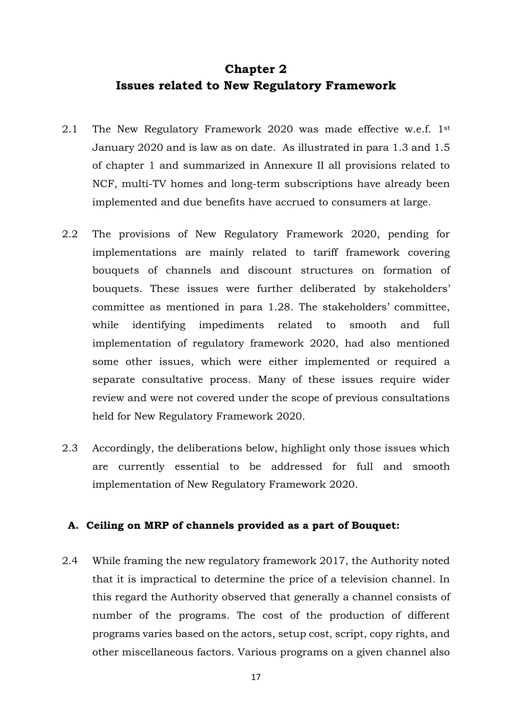## **Chapter 2 Issues related to New Regulatory Framework**

- 2.1 The New Regulatory Framework 2020 was made effective w.e.f. 1<sup>st</sup> January 2020 and is law as on date. As illustrated in para 1.3 and 1.5 of chapter 1 and summarized in Annexure II all provisions related to NCF, multi-TV homes and long-term subscriptions have already been implemented and due benefits have accrued to consumers at large.
- 2.2 The provisions of New Regulatory Framework 2020, pending for implementations are mainly related to tariff framework covering bouquets of channels and discount structures on formation of bouquets. These issues were further deliberated by stakeholders' committee as mentioned in para 1.28. The stakeholders' committee, while identifying impediments related to smooth and full implementation of regulatory framework 2020, had also mentioned some other issues, which were either implemented or required a separate consultative process. Many of these issues require wider review and were not covered under the scope of previous consultations held for New Regulatory Framework 2020.
- 2.3 Accordingly, the deliberations below, highlight only those issues which are currently essential to be addressed for full and smooth implementation of New Regulatory Framework 2020.

#### **A. Ceiling on MRP of channels provided as a part of Bouquet:**

2.4 While framing the new regulatory framework 2017, the Authority noted that it is impractical to determine the price of a television channel. In this regard the Authority observed that generally a channel consists of number of the programs. The cost of the production of different programs varies based on the actors, setup cost, script, copy rights, and other miscellaneous factors. Various programs on a given channel also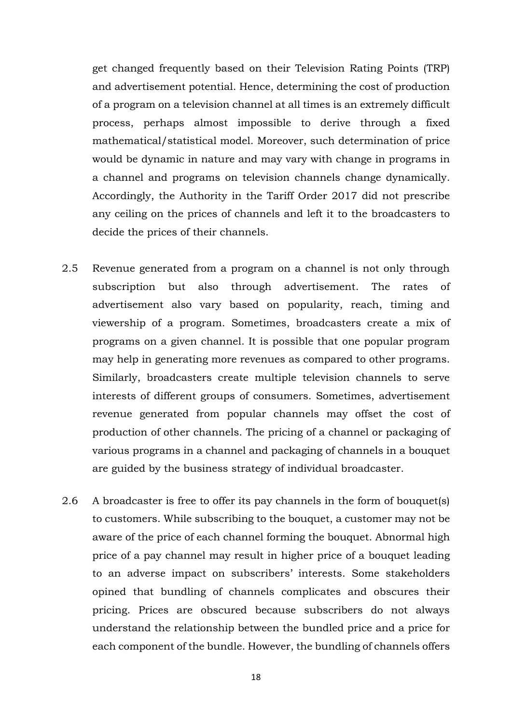get changed frequently based on their Television Rating Points (TRP) and advertisement potential. Hence, determining the cost of production of a program on a television channel at all times is an extremely difficult process, perhaps almost impossible to derive through a fixed mathematical/statistical model. Moreover, such determination of price would be dynamic in nature and may vary with change in programs in a channel and programs on television channels change dynamically. Accordingly, the Authority in the Tariff Order 2017 did not prescribe any ceiling on the prices of channels and left it to the broadcasters to decide the prices of their channels.

- 2.5 Revenue generated from a program on a channel is not only through subscription but also through advertisement. The rates of advertisement also vary based on popularity, reach, timing and viewership of a program. Sometimes, broadcasters create a mix of programs on a given channel. It is possible that one popular program may help in generating more revenues as compared to other programs. Similarly, broadcasters create multiple television channels to serve interests of different groups of consumers. Sometimes, advertisement revenue generated from popular channels may offset the cost of production of other channels. The pricing of a channel or packaging of various programs in a channel and packaging of channels in a bouquet are guided by the business strategy of individual broadcaster.
- 2.6 A broadcaster is free to offer its pay channels in the form of bouquet(s) to customers. While subscribing to the bouquet, a customer may not be aware of the price of each channel forming the bouquet. Abnormal high price of a pay channel may result in higher price of a bouquet leading to an adverse impact on subscribers' interests. Some stakeholders opined that bundling of channels complicates and obscures their pricing. Prices are obscured because subscribers do not always understand the relationship between the bundled price and a price for each component of the bundle. However, the bundling of channels offers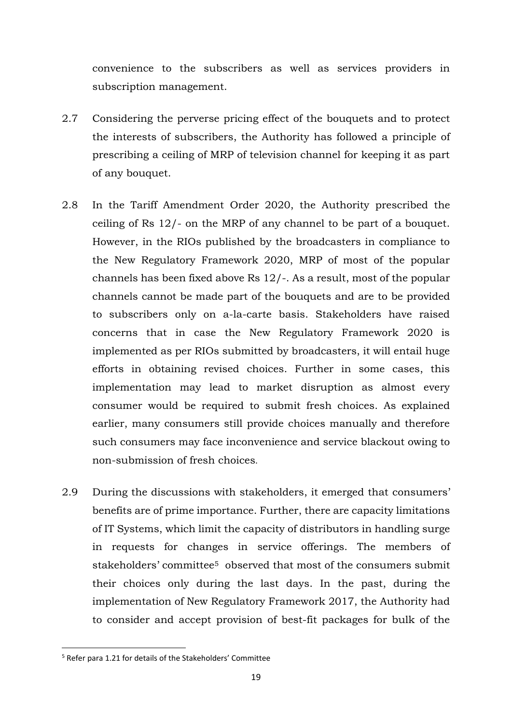convenience to the subscribers as well as services providers in subscription management.

- 2.7 Considering the perverse pricing effect of the bouquets and to protect the interests of subscribers, the Authority has followed a principle of prescribing a ceiling of MRP of television channel for keeping it as part of any bouquet.
- 2.8 In the Tariff Amendment Order 2020, the Authority prescribed the ceiling of Rs 12/- on the MRP of any channel to be part of a bouquet. However, in the RIOs published by the broadcasters in compliance to the New Regulatory Framework 2020, MRP of most of the popular channels has been fixed above Rs 12/-. As a result, most of the popular channels cannot be made part of the bouquets and are to be provided to subscribers only on a-la-carte basis. Stakeholders have raised concerns that in case the New Regulatory Framework 2020 is implemented as per RIOs submitted by broadcasters, it will entail huge efforts in obtaining revised choices. Further in some cases, this implementation may lead to market disruption as almost every consumer would be required to submit fresh choices. As explained earlier, many consumers still provide choices manually and therefore such consumers may face inconvenience and service blackout owing to non-submission of fresh choices.
- 2.9 During the discussions with stakeholders, it emerged that consumers' benefits are of prime importance. Further, there are capacity limitations of IT Systems, which limit the capacity of distributors in handling surge in requests for changes in service offerings. The members of stakeholders' committee<sup>5</sup> observed that most of the consumers submit their choices only during the last days. In the past, during the implementation of New Regulatory Framework 2017, the Authority had to consider and accept provision of best-fit packages for bulk of the

<sup>5</sup> Refer para 1.21 for details of the Stakeholders' Committee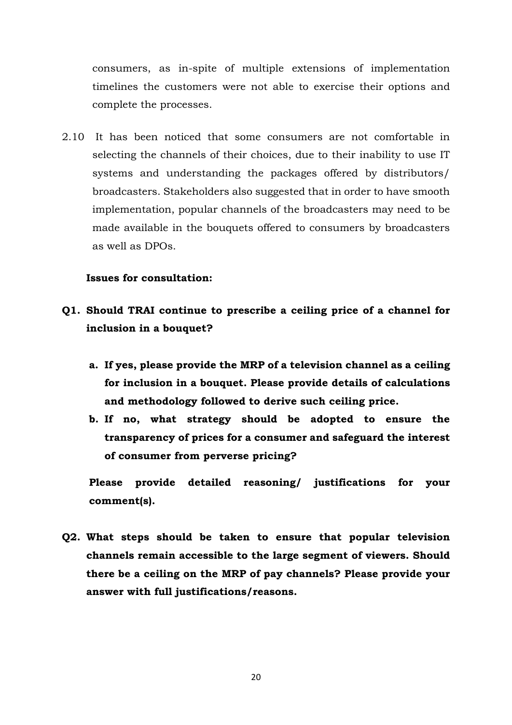consumers, as in-spite of multiple extensions of implementation timelines the customers were not able to exercise their options and complete the processes.

2.10 It has been noticed that some consumers are not comfortable in selecting the channels of their choices, due to their inability to use IT systems and understanding the packages offered by distributors/ broadcasters. Stakeholders also suggested that in order to have smooth implementation, popular channels of the broadcasters may need to be made available in the bouquets offered to consumers by broadcasters as well as DPOs.

#### **Issues for consultation:**

- **Q1. Should TRAI continue to prescribe a ceiling price of a channel for inclusion in a bouquet?** 
	- **a. If yes, please provide the MRP of a television channel as a ceiling for inclusion in a bouquet. Please provide details of calculations and methodology followed to derive such ceiling price.**
	- **b. If no, what strategy should be adopted to ensure the transparency of prices for a consumer and safeguard the interest of consumer from perverse pricing?**

**Please provide detailed reasoning/ justifications for your comment(s).**

**Q2. What steps should be taken to ensure that popular television channels remain accessible to the large segment of viewers. Should there be a ceiling on the MRP of pay channels? Please provide your answer with full justifications/reasons.**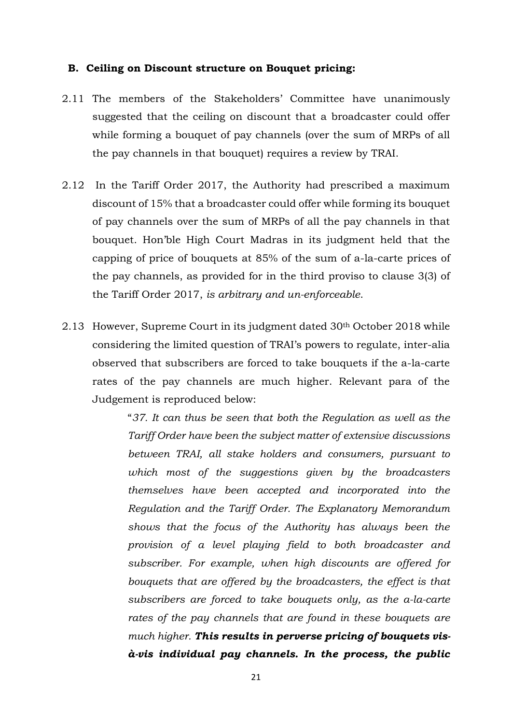#### **B. Ceiling on Discount structure on Bouquet pricing:**

- 2.11 The members of the Stakeholders' Committee have unanimously suggested that the ceiling on discount that a broadcaster could offer while forming a bouquet of pay channels (over the sum of MRPs of all the pay channels in that bouquet) requires a review by TRAI.
- 2.12 In the Tariff Order 2017, the Authority had prescribed a maximum discount of 15% that a broadcaster could offer while forming its bouquet of pay channels over the sum of MRPs of all the pay channels in that bouquet. Hon'ble High Court Madras in its judgment held that the capping of price of bouquets at 85% of the sum of a-la-carte prices of the pay channels, as provided for in the third proviso to clause 3(3) of the Tariff Order 2017, *is arbitrary and un-enforceable*.
- 2.13 However, Supreme Court in its judgment dated 30<sup>th</sup> October 2018 while considering the limited question of TRAI's powers to regulate, inter-alia observed that subscribers are forced to take bouquets if the a-la-carte rates of the pay channels are much higher. Relevant para of the Judgement is reproduced below:

"*37. It can thus be seen that both the Regulation as well as the Tariff Order have been the subject matter of extensive discussions between TRAI, all stake holders and consumers, pursuant to which most of the suggestions given by the broadcasters themselves have been accepted and incorporated into the Regulation and the Tariff Order. The Explanatory Memorandum shows that the focus of the Authority has always been the provision of a level playing field to both broadcaster and subscriber. For example, when high discounts are offered for bouquets that are offered by the broadcasters, the effect is that subscribers are forced to take bouquets only, as the a-la-carte rates of the pay channels that are found in these bouquets are much higher. This results in perverse pricing of bouquets visà-vis individual pay channels. In the process, the public*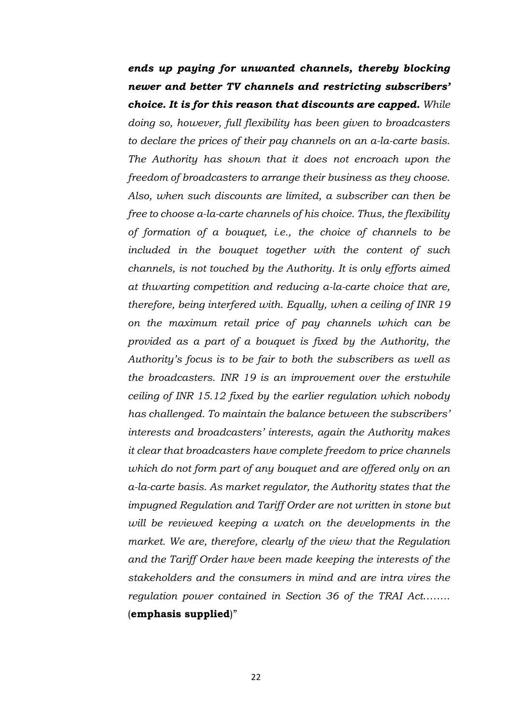*ends up paying for unwanted channels, thereby blocking newer and better TV channels and restricting subscribers' choice. It is for this reason that discounts are capped. While doing so, however, full flexibility has been given to broadcasters to declare the prices of their pay channels on an a-la-carte basis. The Authority has shown that it does not encroach upon the freedom of broadcasters to arrange their business as they choose. Also, when such discounts are limited, a subscriber can then be free to choose a-la-carte channels of his choice. Thus, the flexibility of formation of a bouquet, i.e., the choice of channels to be included in the bouquet together with the content of such channels, is not touched by the Authority. It is only efforts aimed at thwarting competition and reducing a-la-carte choice that are, therefore, being interfered with. Equally, when a ceiling of INR 19 on the maximum retail price of pay channels which can be provided as a part of a bouquet is fixed by the Authority, the Authority's focus is to be fair to both the subscribers as well as the broadcasters. INR 19 is an improvement over the erstwhile ceiling of INR 15.12 fixed by the earlier regulation which nobody has challenged. To maintain the balance between the subscribers' interests and broadcasters' interests, again the Authority makes it clear that broadcasters have complete freedom to price channels which do not form part of any bouquet and are offered only on an a-la-carte basis. As market regulator, the Authority states that the impugned Regulation and Tariff Order are not written in stone but will be reviewed keeping a watch on the developments in the market. We are, therefore, clearly of the view that the Regulation and the Tariff Order have been made keeping the interests of the stakeholders and the consumers in mind and are intra vires the regulation power contained in Section 36 of the TRAI Act*…….. (**emphasis supplied**)"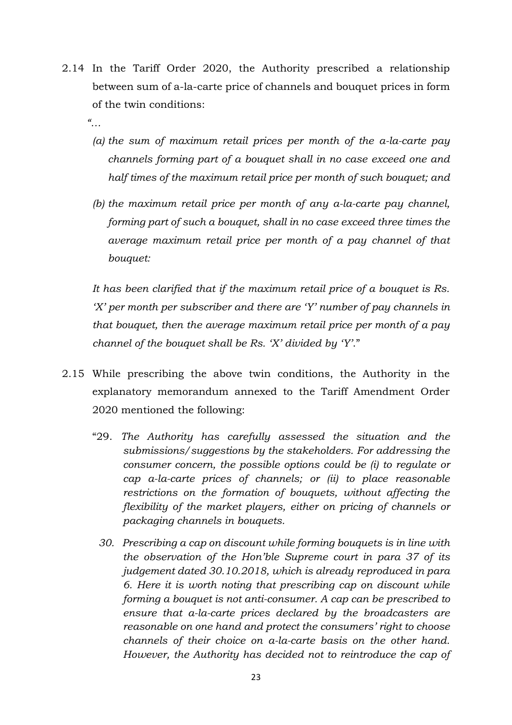2.14 In the Tariff Order 2020, the Authority prescribed a relationship between sum of a-la-carte price of channels and bouquet prices in form of the twin conditions:

*"…*

- *(a) the sum of maximum retail prices per month of the a-la-carte pay channels forming part of a bouquet shall in no case exceed one and half times of the maximum retail price per month of such bouquet; and*
- *(b) the maximum retail price per month of any a-la-carte pay channel, forming part of such a bouquet, shall in no case exceed three times the average maximum retail price per month of a pay channel of that bouquet:*

*It has been clarified that if the maximum retail price of a bouquet is Rs. 'X' per month per subscriber and there are 'Y' number of pay channels in that bouquet, then the average maximum retail price per month of a pay channel of the bouquet shall be Rs. 'X' divided by 'Y'*."

- 2.15 While prescribing the above twin conditions, the Authority in the explanatory memorandum annexed to the Tariff Amendment Order 2020 mentioned the following:
	- "29. *The Authority has carefully assessed the situation and the submissions/suggestions by the stakeholders. For addressing the consumer concern, the possible options could be (i) to regulate or cap a-la-carte prices of channels; or (ii) to place reasonable restrictions on the formation of bouquets, without affecting the flexibility of the market players, either on pricing of channels or packaging channels in bouquets.*
		- *30. Prescribing a cap on discount while forming bouquets is in line with the observation of the Hon'ble Supreme court in para 37 of its judgement dated 30.10.2018, which is already reproduced in para 6. Here it is worth noting that prescribing cap on discount while forming a bouquet is not anti-consumer. A cap can be prescribed to ensure that a-la-carte prices declared by the broadcasters are reasonable on one hand and protect the consumers' right to choose channels of their choice on a-la-carte basis on the other hand. However, the Authority has decided not to reintroduce the cap of*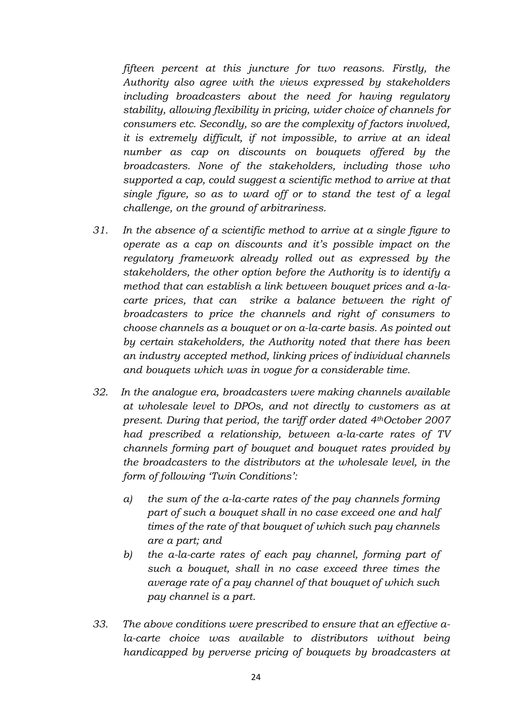*fifteen percent at this juncture for two reasons. Firstly, the Authority also agree with the views expressed by stakeholders including broadcasters about the need for having regulatory stability, allowing flexibility in pricing, wider choice of channels for consumers etc. Secondly, so are the complexity of factors involved, it is extremely difficult, if not impossible, to arrive at an ideal number as cap on discounts on bouquets offered by the broadcasters. None of the stakeholders, including those who supported a cap, could suggest a scientific method to arrive at that single figure, so as to ward off or to stand the test of a legal challenge, on the ground of arbitrariness.*

- *31. In the absence of a scientific method to arrive at a single figure to operate as a cap on discounts and it's possible impact on the regulatory framework already rolled out as expressed by the stakeholders, the other option before the Authority is to identify a method that can establish a link between bouquet prices and a-lacarte prices, that can strike a balance between the right of broadcasters to price the channels and right of consumers to choose channels as a bouquet or on a-la-carte basis. As pointed out by certain stakeholders, the Authority noted that there has been an industry accepted method, linking prices of individual channels and bouquets which was in vogue for a considerable time.*
- *32. In the analogue era, broadcasters were making channels available at wholesale level to DPOs, and not directly to customers as at present. During that period, the tariff order dated 4thOctober 2007 had prescribed a relationship, between a-la-carte rates of TV channels forming part of bouquet and bouquet rates provided by the broadcasters to the distributors at the wholesale level, in the form of following 'Twin Conditions':*
	- *a) the sum of the a-la-carte rates of the pay channels forming part of such a bouquet shall in no case exceed one and half times of the rate of that bouquet of which such pay channels are a part; and*
	- *b) the a-la-carte rates of each pay channel, forming part of such a bouquet, shall in no case exceed three times the average rate of a pay channel of that bouquet of which such pay channel is a part.*
- *33. The above conditions were prescribed to ensure that an effective a*la-carte choice was available to distributors without being *handicapped by perverse pricing of bouquets by broadcasters at*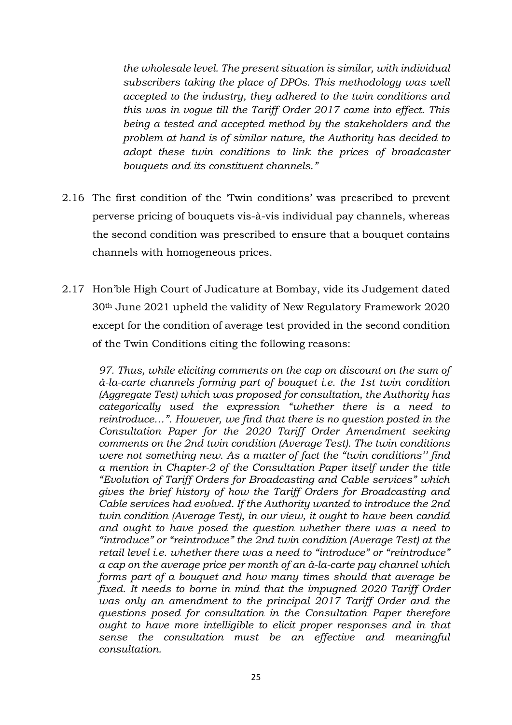*the wholesale level. The present situation is similar, with individual subscribers taking the place of DPOs. This methodology was well accepted to the industry, they adhered to the twin conditions and this was in vogue till the Tariff Order 2017 came into effect. This being a tested and accepted method by the stakeholders and the problem at hand is of similar nature, the Authority has decided to adopt these twin conditions to link the prices of broadcaster bouquets and its constituent channels."*

- 2.16 The first condition of the 'Twin conditions' was prescribed to prevent perverse pricing of bouquets vis-à-vis individual pay channels, whereas the second condition was prescribed to ensure that a bouquet contains channels with homogeneous prices.
- 2.17 Hon'ble High Court of Judicature at Bombay, vide its Judgement dated 30th June 2021 upheld the validity of New Regulatory Framework 2020 except for the condition of average test provided in the second condition of the Twin Conditions citing the following reasons:

*97. Thus, while eliciting comments on the cap on discount on the sum of à-la-carte channels forming part of bouquet i.e. the 1st twin condition (Aggregate Test) which was proposed for consultation, the Authority has categorically used the expression "whether there is a need to reintroduce…". However, we find that there is no question posted in the Consultation Paper for the 2020 Tariff Order Amendment seeking comments on the 2nd twin condition (Average Test). The twin conditions were not something new. As a matter of fact the "twin conditions'' find a mention in Chapter-2 of the Consultation Paper itself under the title "Evolution of Tariff Orders for Broadcasting and Cable services" which gives the brief history of how the Tariff Orders for Broadcasting and Cable services had evolved. If the Authority wanted to introduce the 2nd twin condition (Average Test), in our view, it ought to have been candid and ought to have posed the question whether there was a need to "introduce" or "reintroduce" the 2nd twin condition (Average Test) at the retail level i.e. whether there was a need to "introduce" or "reintroduce" a cap on the average price per month of an à-la-carte pay channel which forms part of a bouquet and how many times should that average be fixed. It needs to borne in mind that the impugned 2020 Tariff Order was only an amendment to the principal 2017 Tariff Order and the questions posed for consultation in the Consultation Paper therefore ought to have more intelligible to elicit proper responses and in that sense the consultation must be an effective and meaningful consultation.*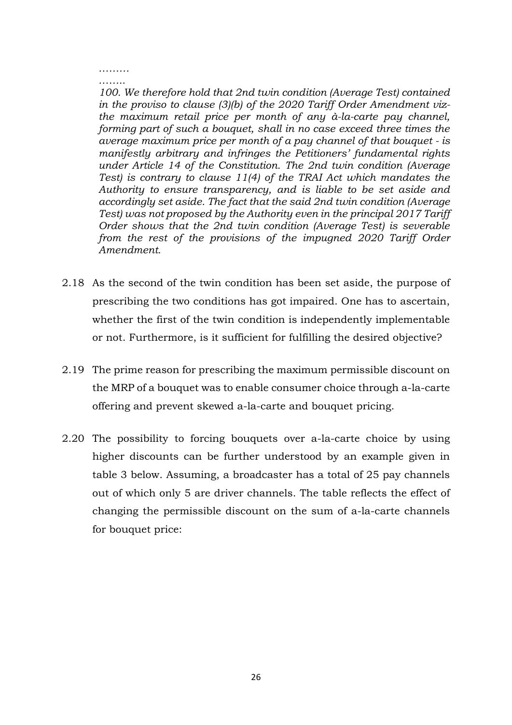#### *……… ……..*

*100. We therefore hold that 2nd twin condition (Average Test) contained in the proviso to clause (3)(b) of the 2020 Tariff Order Amendment vizthe maximum retail price per month of any à-la-carte pay channel, forming part of such a bouquet, shall in no case exceed three times the average maximum price per month of a pay channel of that bouquet - is manifestly arbitrary and infringes the Petitioners' fundamental rights under Article 14 of the Constitution. The 2nd twin condition (Average Test) is contrary to clause 11(4) of the TRAI Act which mandates the Authority to ensure transparency, and is liable to be set aside and accordingly set aside. The fact that the said 2nd twin condition (Average Test) was not proposed by the Authority even in the principal 2017 Tariff Order shows that the 2nd twin condition (Average Test) is severable from the rest of the provisions of the impugned 2020 Tariff Order Amendment.*

- 2.18 As the second of the twin condition has been set aside, the purpose of prescribing the two conditions has got impaired. One has to ascertain, whether the first of the twin condition is independently implementable or not. Furthermore, is it sufficient for fulfilling the desired objective?
- 2.19 The prime reason for prescribing the maximum permissible discount on the MRP of a bouquet was to enable consumer choice through a-la-carte offering and prevent skewed a-la-carte and bouquet pricing.
- 2.20 The possibility to forcing bouquets over a-la-carte choice by using higher discounts can be further understood by an example given in table 3 below. Assuming, a broadcaster has a total of 25 pay channels out of which only 5 are driver channels. The table reflects the effect of changing the permissible discount on the sum of a-la-carte channels for bouquet price: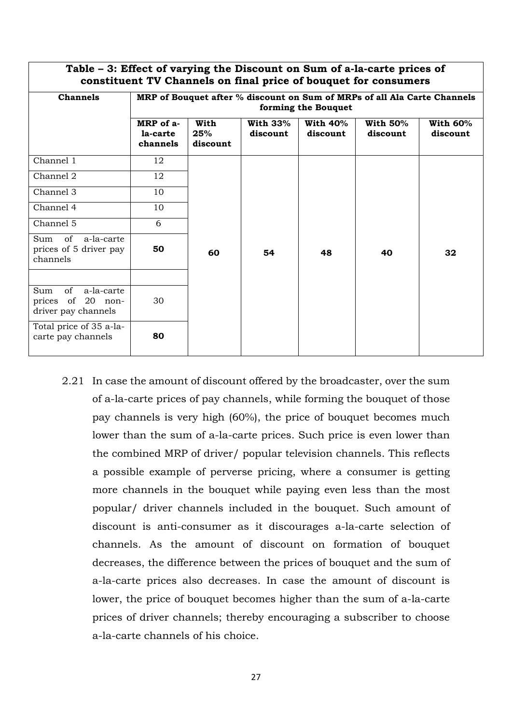| Table - 3: Effect of varying the Discount on Sum of a-la-carte prices of<br>constituent TV Channels on final price of bouquet for consumers |                                                                                                 |                         |                         |                         |                             |                        |
|---------------------------------------------------------------------------------------------------------------------------------------------|-------------------------------------------------------------------------------------------------|-------------------------|-------------------------|-------------------------|-----------------------------|------------------------|
| <b>Channels</b>                                                                                                                             | MRP of Bouquet after % discount on Sum of MRPs of all Ala Carte Channels<br>forming the Bouquet |                         |                         |                         |                             |                        |
|                                                                                                                                             | MRP of a-<br>la-carte<br>channels                                                               | With<br>25%<br>discount | With $33\%$<br>discount | With $40\%$<br>discount | <b>With 50%</b><br>discount | With $60%$<br>discount |
| Channel 1                                                                                                                                   | 12                                                                                              |                         |                         |                         |                             |                        |
| Channel 2                                                                                                                                   | 12                                                                                              |                         |                         |                         |                             |                        |
| Channel 3                                                                                                                                   | 10                                                                                              |                         |                         |                         |                             |                        |
| Channel 4                                                                                                                                   | 10                                                                                              |                         |                         |                         |                             |                        |
| Channel 5                                                                                                                                   | 6                                                                                               |                         |                         |                         |                             |                        |
| Sum of<br>a-la-carte<br>prices of 5 driver pay<br>channels                                                                                  | 50                                                                                              | 60                      | 54                      | 48                      | 40                          | 32                     |
|                                                                                                                                             |                                                                                                 |                         |                         |                         |                             |                        |
| of a-la-carte<br>Sum<br>prices of 20 non-<br>driver pay channels                                                                            | 30                                                                                              |                         |                         |                         |                             |                        |
| Total price of 35 a-la-<br>carte pay channels                                                                                               | 80                                                                                              |                         |                         |                         |                             |                        |

2.21 In case the amount of discount offered by the broadcaster, over the sum of a-la-carte prices of pay channels, while forming the bouquet of those pay channels is very high (60%), the price of bouquet becomes much lower than the sum of a-la-carte prices. Such price is even lower than the combined MRP of driver/ popular television channels. This reflects a possible example of perverse pricing, where a consumer is getting more channels in the bouquet while paying even less than the most popular/ driver channels included in the bouquet. Such amount of discount is anti-consumer as it discourages a-la-carte selection of channels. As the amount of discount on formation of bouquet decreases, the difference between the prices of bouquet and the sum of a-la-carte prices also decreases. In case the amount of discount is lower, the price of bouquet becomes higher than the sum of a-la-carte prices of driver channels; thereby encouraging a subscriber to choose a-la-carte channels of his choice.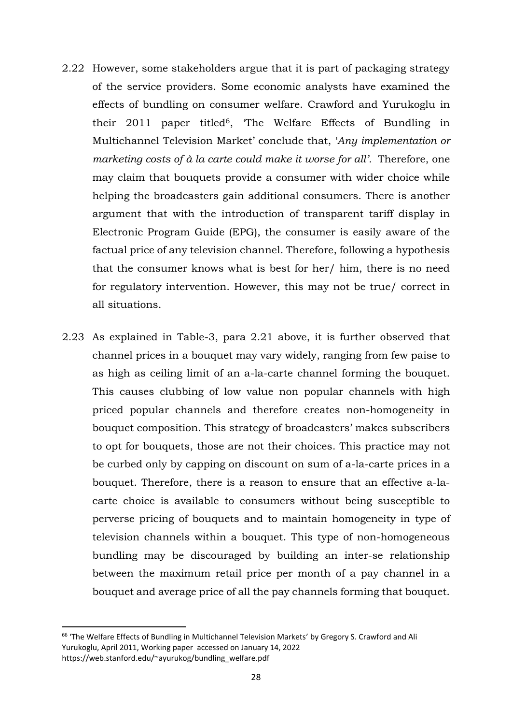- 2.22 However, some stakeholders argue that it is part of packaging strategy of the service providers. Some economic analysts have examined the effects of bundling on consumer welfare. Crawford and Yurukoglu in their 2011 paper titled<sup>6</sup>, The Welfare Effects of Bundling in Multichannel Television Market' conclude that, '*Any implementation or marketing costs of à la carte could make it worse for all'.* Therefore, one may claim that bouquets provide a consumer with wider choice while helping the broadcasters gain additional consumers. There is another argument that with the introduction of transparent tariff display in Electronic Program Guide (EPG), the consumer is easily aware of the factual price of any television channel. Therefore, following a hypothesis that the consumer knows what is best for her/ him, there is no need for regulatory intervention. However, this may not be true/ correct in all situations.
- 2.23 As explained in Table-3, para 2.21 above, it is further observed that channel prices in a bouquet may vary widely, ranging from few paise to as high as ceiling limit of an a-la-carte channel forming the bouquet. This causes clubbing of low value non popular channels with high priced popular channels and therefore creates non-homogeneity in bouquet composition. This strategy of broadcasters' makes subscribers to opt for bouquets, those are not their choices. This practice may not be curbed only by capping on discount on sum of a-la-carte prices in a bouquet. Therefore, there is a reason to ensure that an effective a-lacarte choice is available to consumers without being susceptible to perverse pricing of bouquets and to maintain homogeneity in type of television channels within a bouquet. This type of non-homogeneous bundling may be discouraged by building an inter-se relationship between the maximum retail price per month of a pay channel in a bouquet and average price of all the pay channels forming that bouquet.

<sup>&</sup>lt;sup>66</sup> 'The Welfare Effects of Bundling in Multichannel Television Markets' by Gregory S. Crawford and Ali Yurukoglu, April 2011, Working paper accessed on January 14, 2022 [https://web.stanford.edu/~ayurukog/bundling\\_welfare.pdf](https://web.stanford.edu/~ayurukog/bundling_welfare.pdf)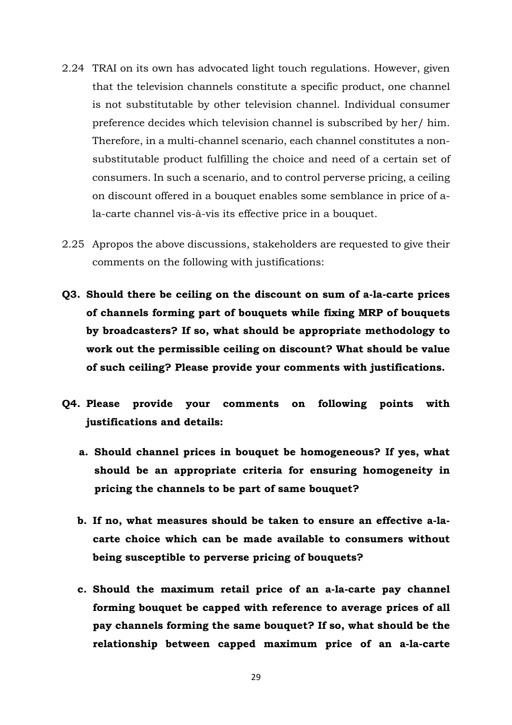- 2.24 TRAI on its own has advocated light touch regulations. However, given that the television channels constitute a specific product, one channel is not substitutable by other television channel. Individual consumer preference decides which television channel is subscribed by her/ him. Therefore, in a multi-channel scenario, each channel constitutes a nonsubstitutable product fulfilling the choice and need of a certain set of consumers. In such a scenario, and to control perverse pricing, a ceiling on discount offered in a bouquet enables some semblance in price of ala-carte channel vis-à-vis its effective price in a bouquet.
- 2.25 Apropos the above discussions, stakeholders are requested to give their comments on the following with justifications:
- **Q3. Should there be ceiling on the discount on sum of a-la-carte prices of channels forming part of bouquets while fixing MRP of bouquets by broadcasters? If so, what should be appropriate methodology to work out the permissible ceiling on discount? What should be value of such ceiling? Please provide your comments with justifications.**
- **Q4. Please provide your comments on following points with justifications and details:**
	- **a. Should channel prices in bouquet be homogeneous? If yes, what should be an appropriate criteria for ensuring homogeneity in pricing the channels to be part of same bouquet?**
	- **b. If no, what measures should be taken to ensure an effective a-lacarte choice which can be made available to consumers without being susceptible to perverse pricing of bouquets?**
	- **c. Should the maximum retail price of an a-la-carte pay channel forming bouquet be capped with reference to average prices of all pay channels forming the same bouquet? If so, what should be the relationship between capped maximum price of an a-la-carte**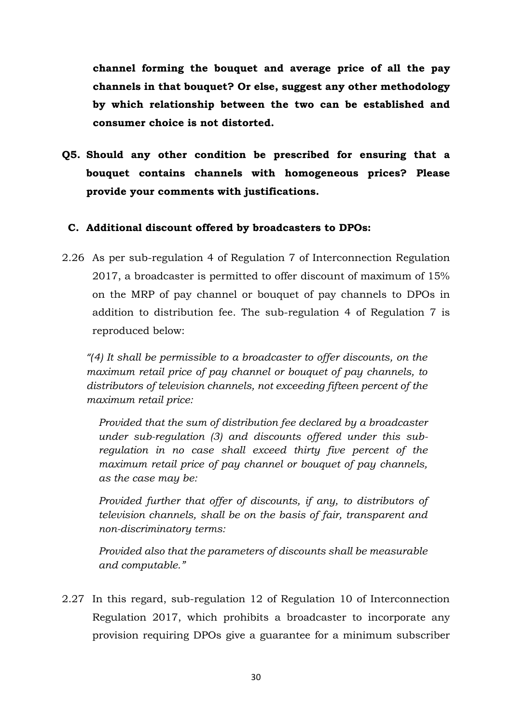**channel forming the bouquet and average price of all the pay channels in that bouquet? Or else, suggest any other methodology by which relationship between the two can be established and consumer choice is not distorted.** 

**Q5. Should any other condition be prescribed for ensuring that a bouquet contains channels with homogeneous prices? Please provide your comments with justifications.**

#### **C. Additional discount offered by broadcasters to DPOs:**

2.26 As per sub-regulation 4 of Regulation 7 of Interconnection Regulation 2017, a broadcaster is permitted to offer discount of maximum of 15% on the MRP of pay channel or bouquet of pay channels to DPOs in addition to distribution fee. The sub-regulation 4 of Regulation 7 is reproduced below:

*"(4) It shall be permissible to a broadcaster to offer discounts, on the maximum retail price of pay channel or bouquet of pay channels, to distributors of television channels, not exceeding fifteen percent of the maximum retail price:*

*Provided that the sum of distribution fee declared by a broadcaster under sub-regulation (3) and discounts offered under this subregulation in no case shall exceed thirty five percent of the maximum retail price of pay channel or bouquet of pay channels, as the case may be:*

*Provided further that offer of discounts, if any, to distributors of television channels, shall be on the basis of fair, transparent and non-discriminatory terms:*

*Provided also that the parameters of discounts shall be measurable and computable."*

2.27 In this regard, sub-regulation 12 of Regulation 10 of Interconnection Regulation 2017, which prohibits a broadcaster to incorporate any provision requiring DPOs give a guarantee for a minimum subscriber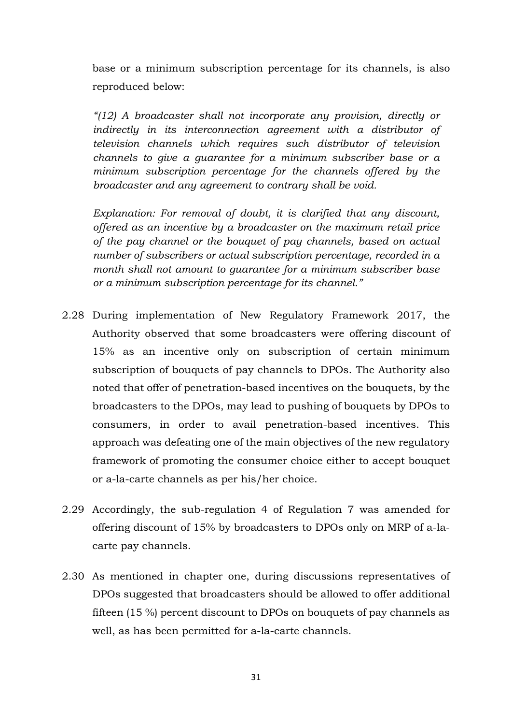base or a minimum subscription percentage for its channels, is also reproduced below:

*"(12) A broadcaster shall not incorporate any provision, directly or indirectly in its interconnection agreement with a distributor of television channels which requires such distributor of television channels to give a guarantee for a minimum subscriber base or a minimum subscription percentage for the channels offered by the broadcaster and any agreement to contrary shall be void.*

*Explanation: For removal of doubt, it is clarified that any discount, offered as an incentive by a broadcaster on the maximum retail price of the pay channel or the bouquet of pay channels, based on actual number of subscribers or actual subscription percentage, recorded in a month shall not amount to guarantee for a minimum subscriber base or a minimum subscription percentage for its channel."*

- 2.28 During implementation of New Regulatory Framework 2017, the Authority observed that some broadcasters were offering discount of 15% as an incentive only on subscription of certain minimum subscription of bouquets of pay channels to DPOs. The Authority also noted that offer of penetration-based incentives on the bouquets, by the broadcasters to the DPOs, may lead to pushing of bouquets by DPOs to consumers, in order to avail penetration-based incentives. This approach was defeating one of the main objectives of the new regulatory framework of promoting the consumer choice either to accept bouquet or a-la-carte channels as per his/her choice.
- 2.29 Accordingly, the sub-regulation 4 of Regulation 7 was amended for offering discount of 15% by broadcasters to DPOs only on MRP of a-lacarte pay channels.
- 2.30 As mentioned in chapter one, during discussions representatives of DPOs suggested that broadcasters should be allowed to offer additional fifteen (15 %) percent discount to DPOs on bouquets of pay channels as well, as has been permitted for a-la-carte channels.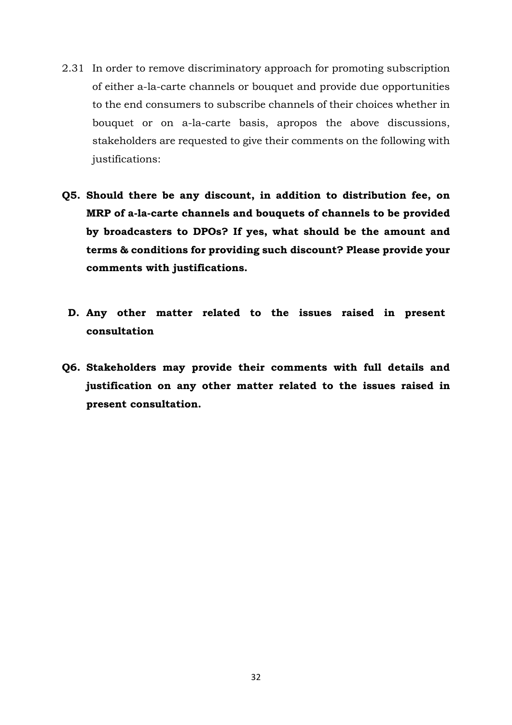- 2.31 In order to remove discriminatory approach for promoting subscription of either a-la-carte channels or bouquet and provide due opportunities to the end consumers to subscribe channels of their choices whether in bouquet or on a-la-carte basis, apropos the above discussions, stakeholders are requested to give their comments on the following with justifications:
- **Q5. Should there be any discount, in addition to distribution fee, on MRP of a-la-carte channels and bouquets of channels to be provided by broadcasters to DPOs? If yes, what should be the amount and terms & conditions for providing such discount? Please provide your comments with justifications.**
	- **D. Any other matter related to the issues raised in present consultation**
- **Q6. Stakeholders may provide their comments with full details and justification on any other matter related to the issues raised in present consultation.**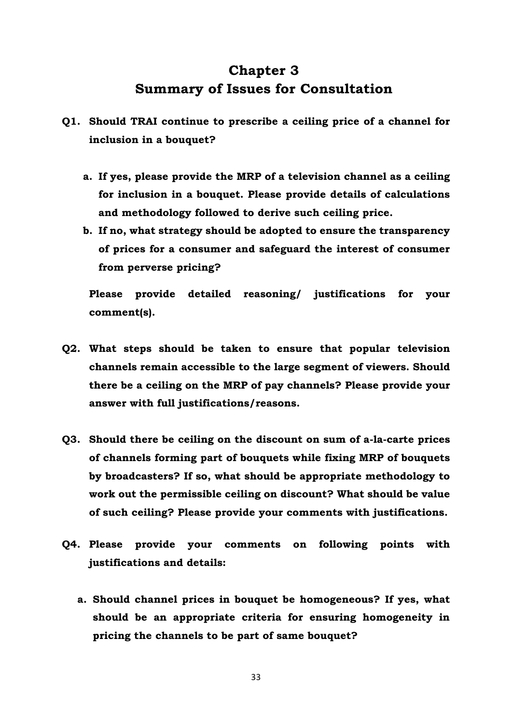# **Chapter 3 Summary of Issues for Consultation**

- **Q1. Should TRAI continue to prescribe a ceiling price of a channel for inclusion in a bouquet?** 
	- **a. If yes, please provide the MRP of a television channel as a ceiling for inclusion in a bouquet. Please provide details of calculations and methodology followed to derive such ceiling price.**
	- **b. If no, what strategy should be adopted to ensure the transparency of prices for a consumer and safeguard the interest of consumer from perverse pricing?**

**Please provide detailed reasoning/ justifications for your comment(s).**

- **Q2. What steps should be taken to ensure that popular television channels remain accessible to the large segment of viewers. Should there be a ceiling on the MRP of pay channels? Please provide your answer with full justifications/reasons.**
- **Q3. Should there be ceiling on the discount on sum of a-la-carte prices of channels forming part of bouquets while fixing MRP of bouquets by broadcasters? If so, what should be appropriate methodology to work out the permissible ceiling on discount? What should be value of such ceiling? Please provide your comments with justifications.**
- **Q4. Please provide your comments on following points with justifications and details:**
	- **a. Should channel prices in bouquet be homogeneous? If yes, what should be an appropriate criteria for ensuring homogeneity in pricing the channels to be part of same bouquet?**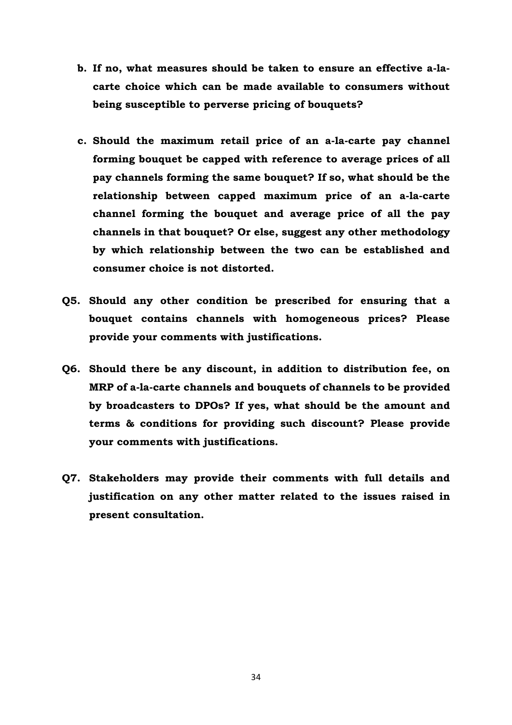- **b. If no, what measures should be taken to ensure an effective a-lacarte choice which can be made available to consumers without being susceptible to perverse pricing of bouquets?**
- **c. Should the maximum retail price of an a-la-carte pay channel forming bouquet be capped with reference to average prices of all pay channels forming the same bouquet? If so, what should be the relationship between capped maximum price of an a-la-carte channel forming the bouquet and average price of all the pay channels in that bouquet? Or else, suggest any other methodology by which relationship between the two can be established and consumer choice is not distorted.**
- **Q5. Should any other condition be prescribed for ensuring that a bouquet contains channels with homogeneous prices? Please provide your comments with justifications.**
- **Q6. Should there be any discount, in addition to distribution fee, on MRP of a-la-carte channels and bouquets of channels to be provided by broadcasters to DPOs? If yes, what should be the amount and terms & conditions for providing such discount? Please provide your comments with justifications.**
- **Q7. Stakeholders may provide their comments with full details and justification on any other matter related to the issues raised in present consultation.**

34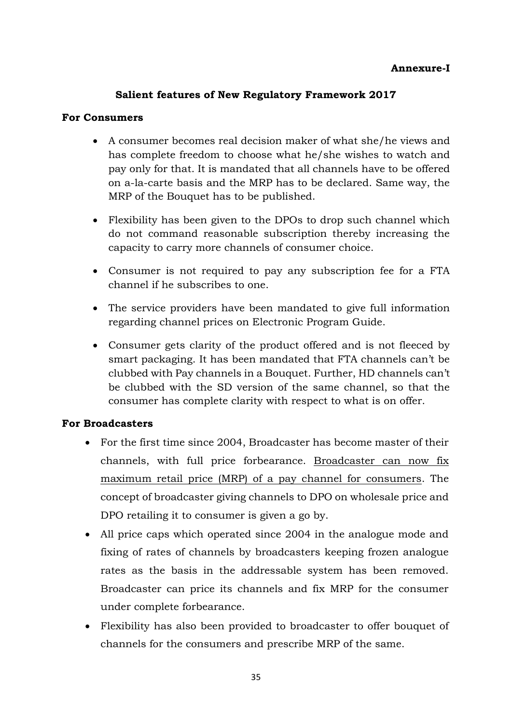### **Annexure-I**

### **Salient features of New Regulatory Framework 2017**

#### **For Consumers**

- A consumer becomes real decision maker of what she/he views and has complete freedom to choose what he/she wishes to watch and pay only for that. It is mandated that all channels have to be offered on a-la-carte basis and the MRP has to be declared. Same way, the MRP of the Bouquet has to be published.
- Flexibility has been given to the DPOs to drop such channel which do not command reasonable subscription thereby increasing the capacity to carry more channels of consumer choice.
- Consumer is not required to pay any subscription fee for a FTA channel if he subscribes to one.
- The service providers have been mandated to give full information regarding channel prices on Electronic Program Guide.
- Consumer gets clarity of the product offered and is not fleeced by smart packaging. It has been mandated that FTA channels can't be clubbed with Pay channels in a Bouquet. Further, HD channels can't be clubbed with the SD version of the same channel, so that the consumer has complete clarity with respect to what is on offer.

#### **For Broadcasters**

- For the first time since 2004, Broadcaster has become master of their channels, with full price forbearance. Broadcaster can now fix maximum retail price (MRP) of a pay channel for consumers. The concept of broadcaster giving channels to DPO on wholesale price and DPO retailing it to consumer is given a go by.
- All price caps which operated since 2004 in the analogue mode and fixing of rates of channels by broadcasters keeping frozen analogue rates as the basis in the addressable system has been removed. Broadcaster can price its channels and fix MRP for the consumer under complete forbearance.
- Flexibility has also been provided to broadcaster to offer bouquet of channels for the consumers and prescribe MRP of the same.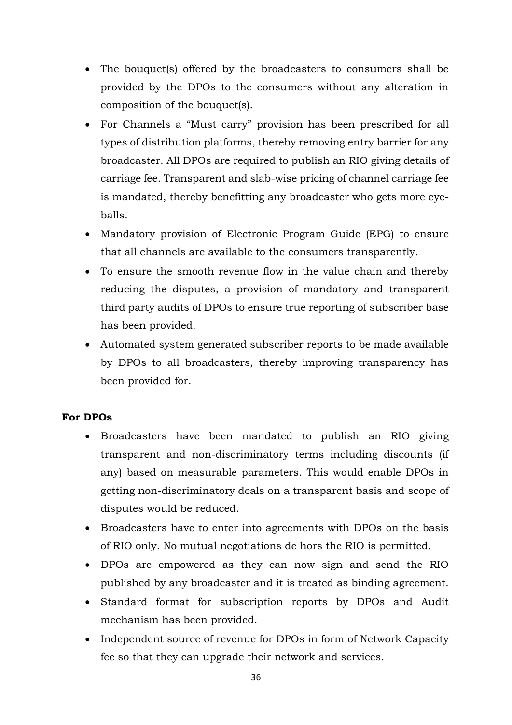- The bouquet(s) offered by the broadcasters to consumers shall be provided by the DPOs to the consumers without any alteration in composition of the bouquet(s).
- For Channels a "Must carry" provision has been prescribed for all types of distribution platforms, thereby removing entry barrier for any broadcaster. All DPOs are required to publish an RIO giving details of carriage fee. Transparent and slab-wise pricing of channel carriage fee is mandated, thereby benefitting any broadcaster who gets more eyeballs.
- Mandatory provision of Electronic Program Guide (EPG) to ensure that all channels are available to the consumers transparently.
- To ensure the smooth revenue flow in the value chain and thereby reducing the disputes, a provision of mandatory and transparent third party audits of DPOs to ensure true reporting of subscriber base has been provided.
- Automated system generated subscriber reports to be made available by DPOs to all broadcasters, thereby improving transparency has been provided for.

### **For DPOs**

- Broadcasters have been mandated to publish an RIO giving transparent and non-discriminatory terms including discounts (if any) based on measurable parameters. This would enable DPOs in getting non-discriminatory deals on a transparent basis and scope of disputes would be reduced.
- Broadcasters have to enter into agreements with DPOs on the basis of RIO only. No mutual negotiations de hors the RIO is permitted.
- DPOs are empowered as they can now sign and send the RIO published by any broadcaster and it is treated as binding agreement.
- Standard format for subscription reports by DPOs and Audit mechanism has been provided.
- Independent source of revenue for DPOs in form of Network Capacity fee so that they can upgrade their network and services.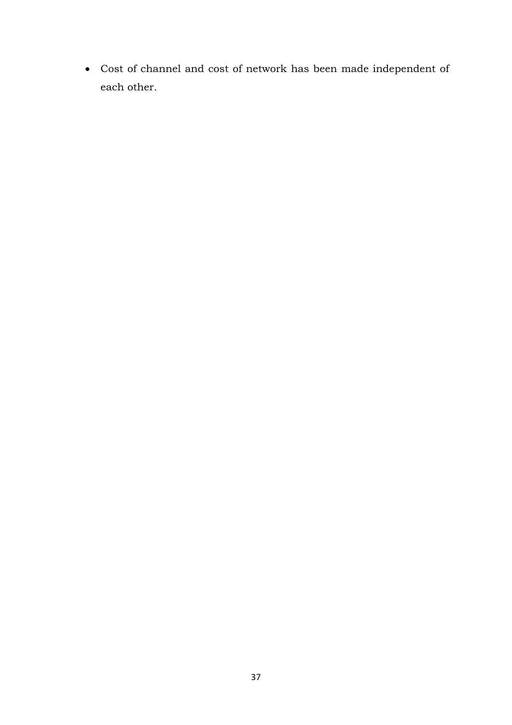• Cost of channel and cost of network has been made independent of each other.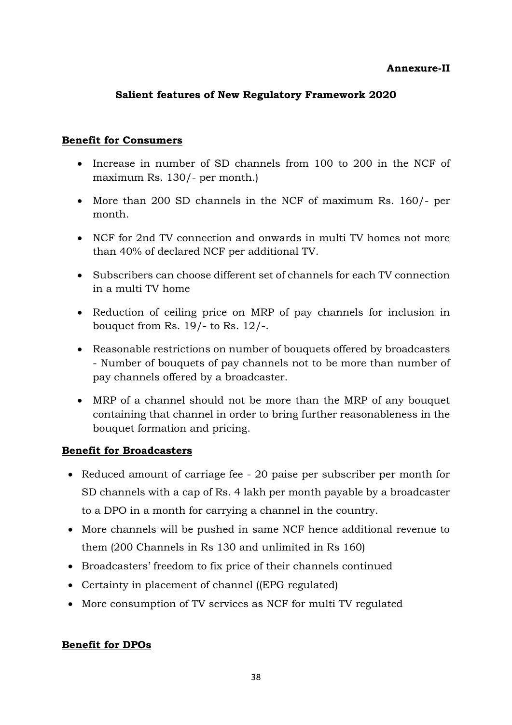#### **Annexure-II**

### **Salient features of New Regulatory Framework 2020**

#### **Benefit for Consumers**

- Increase in number of SD channels from 100 to 200 in the NCF of maximum Rs. 130/- per month.)
- More than 200 SD channels in the NCF of maximum Rs. 160/- per month.
- NCF for 2nd TV connection and onwards in multi TV homes not more than 40% of declared NCF per additional TV.
- Subscribers can choose different set of channels for each TV connection in a multi TV home
- Reduction of ceiling price on MRP of pay channels for inclusion in bouquet from Rs. 19/- to Rs. 12/-.
- Reasonable restrictions on number of bouquets offered by broadcasters - Number of bouquets of pay channels not to be more than number of pay channels offered by a broadcaster.
- MRP of a channel should not be more than the MRP of any bouquet containing that channel in order to bring further reasonableness in the bouquet formation and pricing.

#### **Benefit for Broadcasters**

- Reduced amount of carriage fee 20 paise per subscriber per month for SD channels with a cap of Rs. 4 lakh per month payable by a broadcaster to a DPO in a month for carrying a channel in the country.
- More channels will be pushed in same NCF hence additional revenue to them (200 Channels in Rs 130 and unlimited in Rs 160)
- Broadcasters' freedom to fix price of their channels continued
- Certainty in placement of channel ((EPG regulated)
- More consumption of TV services as NCF for multi TV regulated

### **Benefit for DPOs**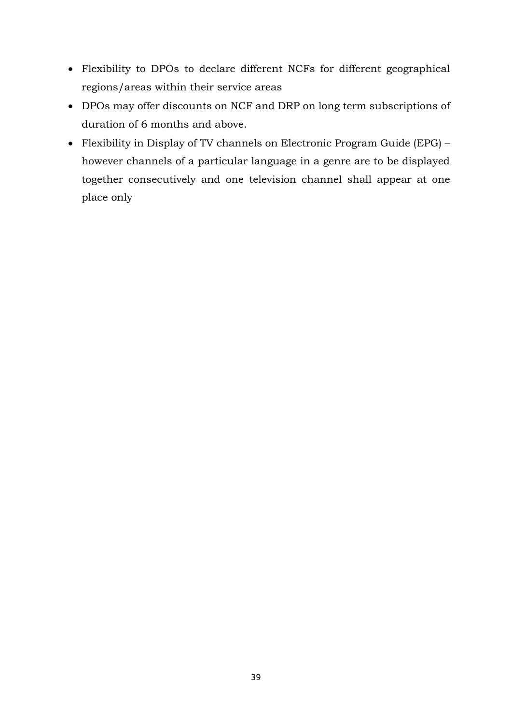- Flexibility to DPOs to declare different NCFs for different geographical regions/areas within their service areas
- DPOs may offer discounts on NCF and DRP on long term subscriptions of duration of 6 months and above.
- Flexibility in Display of TV channels on Electronic Program Guide (EPG) however channels of a particular language in a genre are to be displayed together consecutively and one television channel shall appear at one place only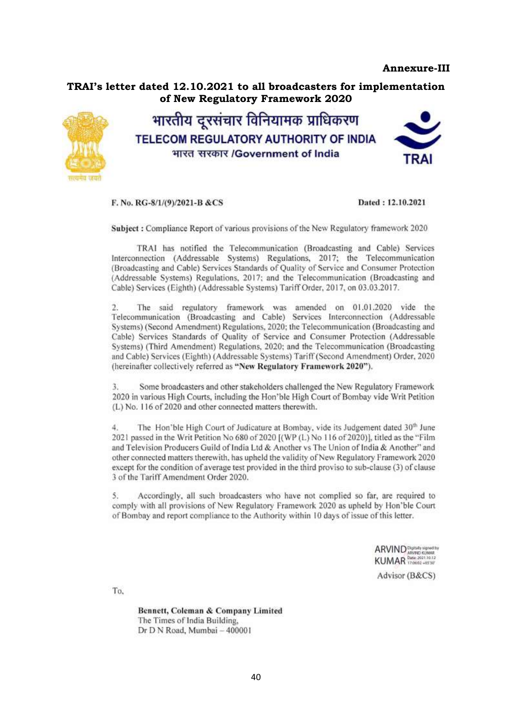#### **Annexure-III**



F. No. RG-8/1/(9)/2021-B &CS

Dated: 12.10.2021

Subject: Compliance Report of various provisions of the New Regulatory framework 2020

TRAI has notified the Telecommunication (Broadcasting and Cable) Services Interconnection (Addressable Systems) Regulations, 2017; the Telecommunication (Broadcasting and Cable) Services Standards of Quality of Service and Consumer Protection (Addressable Systems) Regulations, 2017; and the Telecommunication (Broadcasting and Cable) Services (Eighth) (Addressable Systems) Tariff Order, 2017, on 03.03.2017.

The said regulatory framework was amended on 01.01.2020 vide the  $2.$ Telecommunication (Broadcasting and Cable) Services Interconnection (Addressable Systems) (Second Amendment) Regulations, 2020; the Telecommunication (Broadcasting and Cable) Services Standards of Quality of Service and Consumer Protection (Addressable Systems) (Third Amendment) Regulations, 2020; and the Telecommunication (Broadcasting and Cable) Services (Eighth) (Addressable Systems) Tariff (Second Amendment) Order, 2020 (hereinafter collectively referred as "New Regulatory Framework 2020").

Ţ. Some broadcasters and other stakeholders challenged the New Regulatory Framework 2020 in various High Courts, including the Hon'ble High Court of Bombay vide Writ Petition (L) No. 116 of 2020 and other connected matters therewith.

The Hon'ble High Court of Judicature at Bombay, vide its Judgement dated 30<sup>th</sup> June 4. 2021 passed in the Writ Petition No 680 of 2020 [(WP (L) No 116 of 2020)], titled as the "Film and Television Producers Guild of India Ltd & Another vs The Union of India & Another" and other connected matters therewith, has upheld the validity of New Regulatory Framework 2020 except for the condition of average test provided in the third proviso to sub-clause (3) of clause 3 of the Tariff Amendment Order 2020.

Accordingly, all such broadcasters who have not complied so far, are required to S. comply with all provisions of New Regulatory Framework 2020 as upheld by Hon'ble Court of Bombay and report compliance to the Authority within 10 days of issue of this letter.

ARVIND INSURANCE ARRANGEMENT SCHOOL ARRAIGNMENT

Advisor (B&CS)

To.

Bennett, Coleman & Company Limited The Times of India Building, Dr D N Road, Mumbai - 400001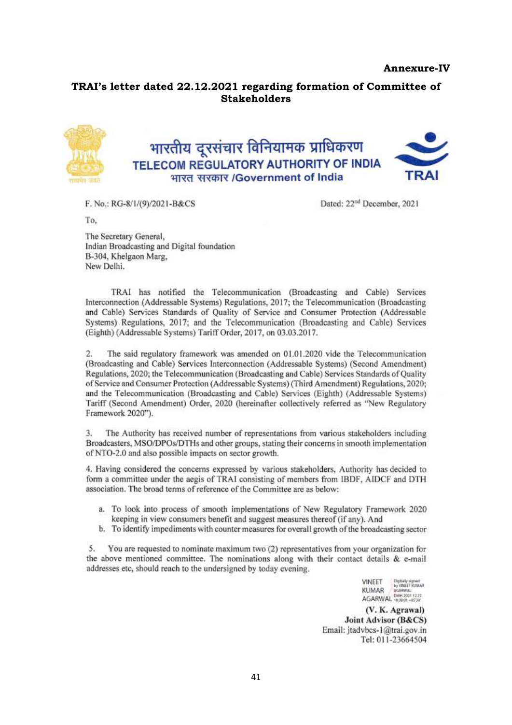#### **Annexure-IV**

#### **TRAI's letter dated 22.12.2021 regarding formation of Committee of Stakeholders**



F. No.: RG-8/1/(9)/2021-B&CS

Dated: 22<sup>nd</sup> December, 2021

To.

The Secretary General, Indian Broadcasting and Digital foundation B-304, Khelgaon Marg. New Delhi.

TRAI has notified the Telecommunication (Broadcasting and Cable) Services Interconnection (Addressable Systems) Regulations, 2017; the Telecommunication (Broadcasting and Cable) Services Standards of Quality of Service and Consumer Protection (Addressable Systems) Regulations, 2017; and the Telecommunication (Broadcasting and Cable) Services (Eighth) (Addressable Systems) Tariff Order, 2017, on 03.03.2017.

The said regulatory framework was amended on 01.01.2020 vide the Telecommunication  $\overline{2}$ (Broadcasting and Cable) Services Interconnection (Addressable Systems) (Second Amendment) Regulations, 2020; the Telecommunication (Broadcasting and Cable) Services Standards of Quality of Service and Consumer Protection (Addressable Systems) (Third Amendment) Regulations, 2020; and the Telecommunication (Broadcasting and Cable) Services (Eighth) (Addressable Systems) Tariff (Second Amendment) Order, 2020 (hereinafter collectively referred as "New Regulatory Framework 2020").

The Authority has received number of representations from various stakeholders including 3. Broadcasters, MSO/DPOs/DTHs and other groups, stating their concerns in smooth implementation of NTO-2.0 and also possible impacts on sector growth.

4. Having considered the concerns expressed by various stakeholders, Authority has decided to form a committee under the aegis of TRAI consisting of members from IBDF, AIDCF and DTH association. The broad terms of reference of the Committee are as below:

- a. To look into process of smooth implementations of New Regulatory Framework 2020 keeping in view consumers benefit and suggest measures thereof (if any). And
- b. To identify impediments with counter measures for overall growth of the broadcasting sector

 $5.$ You are requested to nominate maximum two (2) representatives from your organization for the above mentioned committee. The nominations along with their contact details & e-mail addresses etc, should reach to the undersigned by today evening.

> Digitally signed<br>by VINEET KUMAR<br>AGARWAL **VINEET** KUMAR KUMAR PORT AND THE 2021 12.22

(V. K. Agrawal) Joint Advisor (B&CS) Email: jtadvbcs-1@trai.gov.in Tel: 011-23664504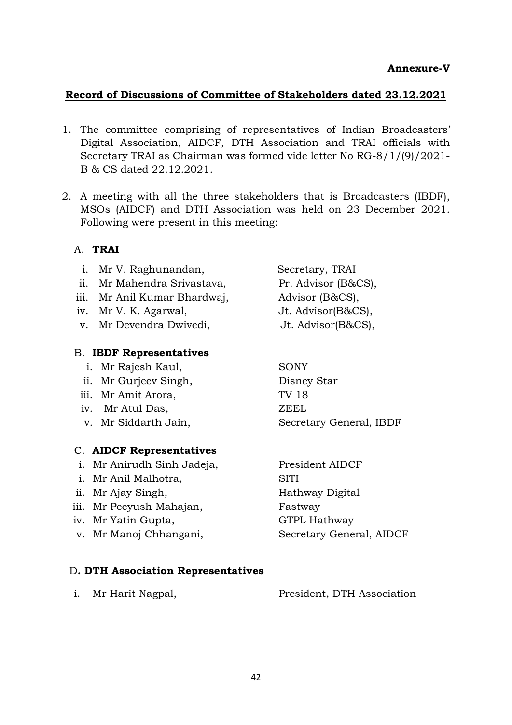#### **Record of Discussions of Committee of Stakeholders dated 23.12.2021**

- 1. The committee comprising of representatives of Indian Broadcasters' Digital Association, AIDCF, DTH Association and TRAI officials with Secretary TRAI as Chairman was formed vide letter No RG-8/1/(9)/2021- B & CS dated 22.12.2021.
- 2. A meeting with all the three stakeholders that is Broadcasters (IBDF), MSOs (AIDCF) and DTH Association was held on 23 December 2021. Following were present in this meeting:

#### A. **TRAI**

- i. Mr V. Raghunandan, Secretary, TRAI
- ii. Mr Mahendra Srivastava, Pr. Advisor (B&CS),
- iii. Mr Anil Kumar Bhardwaj, Advisor (B&CS),
- iv. Mr V. K. Agarwal, Jt. Advisor(B&CS),
- v. Mr Devendra Dwivedi, Jt. Advisor(B&CS),

#### B. **IBDF Representatives**

- i. Mr Rajesh Kaul, SONY
- ii. Mr Gurjeev Singh, Disney Star
- iii. Mr Amit Arora, TV 18
- iv. Mr Atul Das, ZEEL
- 

#### C. **AIDCF Representatives**

- i. Mr Anirudh Sinh Jadeja, President AIDCF
- i. Mr Anil Malhotra, SITI
- ii. Mr Ajay Singh, Hathway Digital
- iii. Mr Peeyush Mahajan, Fastway
- iv. Mr Yatin Gupta, GTPL Hathway
- v. Mr Manoj Chhangani, Secretary General, AIDCF

v. Mr Siddarth Jain, Secretary General, IBDF

#### D**. DTH Association Representatives**

| i. Mr Harit Nagpal, | President, DTH Association |  |
|---------------------|----------------------------|--|
|                     |                            |  |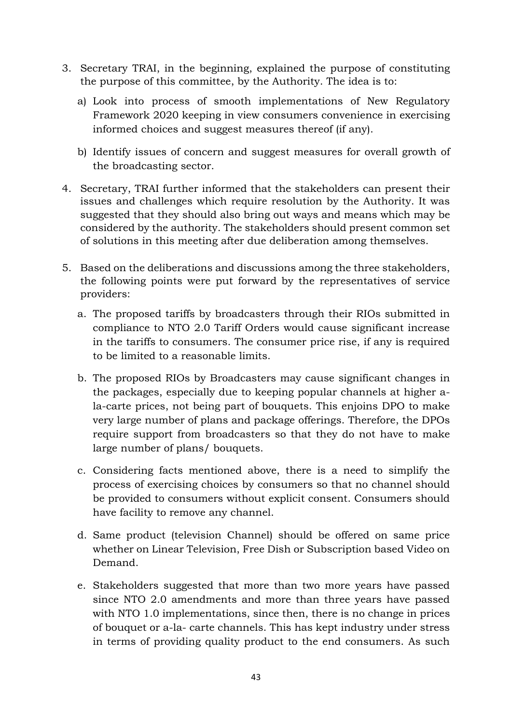- 3. Secretary TRAI, in the beginning, explained the purpose of constituting the purpose of this committee, by the Authority. The idea is to:
	- a) Look into process of smooth implementations of New Regulatory Framework 2020 keeping in view consumers convenience in exercising informed choices and suggest measures thereof (if any).
	- b) Identify issues of concern and suggest measures for overall growth of the broadcasting sector.
- 4. Secretary, TRAI further informed that the stakeholders can present their issues and challenges which require resolution by the Authority. It was suggested that they should also bring out ways and means which may be considered by the authority. The stakeholders should present common set of solutions in this meeting after due deliberation among themselves.
- 5. Based on the deliberations and discussions among the three stakeholders, the following points were put forward by the representatives of service providers:
	- a. The proposed tariffs by broadcasters through their RIOs submitted in compliance to NTO 2.0 Tariff Orders would cause significant increase in the tariffs to consumers. The consumer price rise, if any is required to be limited to a reasonable limits.
	- b. The proposed RIOs by Broadcasters may cause significant changes in the packages, especially due to keeping popular channels at higher ala-carte prices, not being part of bouquets. This enjoins DPO to make very large number of plans and package offerings. Therefore, the DPOs require support from broadcasters so that they do not have to make large number of plans/ bouquets.
	- c. Considering facts mentioned above, there is a need to simplify the process of exercising choices by consumers so that no channel should be provided to consumers without explicit consent. Consumers should have facility to remove any channel.
	- d. Same product (television Channel) should be offered on same price whether on Linear Television, Free Dish or Subscription based Video on Demand.
	- e. Stakeholders suggested that more than two more years have passed since NTO 2.0 amendments and more than three years have passed with NTO 1.0 implementations, since then, there is no change in prices of bouquet or a-la- carte channels. This has kept industry under stress in terms of providing quality product to the end consumers. As such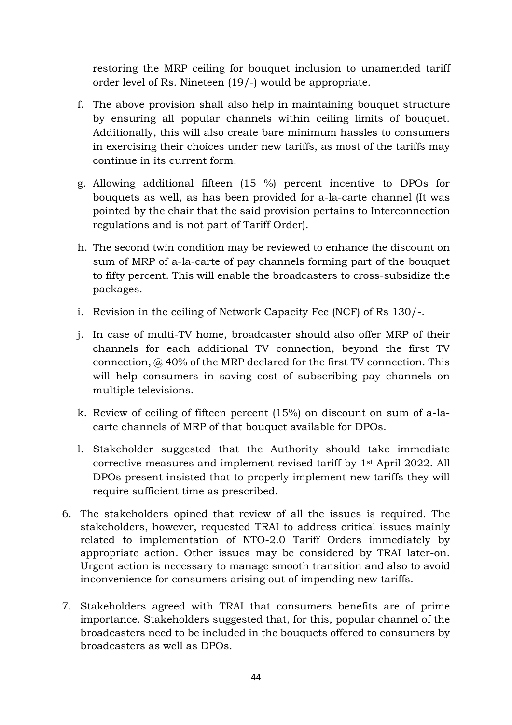restoring the MRP ceiling for bouquet inclusion to unamended tariff order level of Rs. Nineteen (19/-) would be appropriate.

- f. The above provision shall also help in maintaining bouquet structure by ensuring all popular channels within ceiling limits of bouquet. Additionally, this will also create bare minimum hassles to consumers in exercising their choices under new tariffs, as most of the tariffs may continue in its current form.
- g. Allowing additional fifteen (15 %) percent incentive to DPOs for bouquets as well, as has been provided for a-la-carte channel (It was pointed by the chair that the said provision pertains to Interconnection regulations and is not part of Tariff Order).
- h. The second twin condition may be reviewed to enhance the discount on sum of MRP of a-la-carte of pay channels forming part of the bouquet to fifty percent. This will enable the broadcasters to cross-subsidize the packages.
- i. Revision in the ceiling of Network Capacity Fee (NCF) of Rs 130/-.
- j. In case of multi-TV home, broadcaster should also offer MRP of their channels for each additional TV connection, beyond the first TV connection, @ 40% of the MRP declared for the first TV connection. This will help consumers in saving cost of subscribing pay channels on multiple televisions.
- k. Review of ceiling of fifteen percent (15%) on discount on sum of a-lacarte channels of MRP of that bouquet available for DPOs.
- l. Stakeholder suggested that the Authority should take immediate corrective measures and implement revised tariff by 1st April 2022. All DPOs present insisted that to properly implement new tariffs they will require sufficient time as prescribed.
- 6. The stakeholders opined that review of all the issues is required. The stakeholders, however, requested TRAI to address critical issues mainly related to implementation of NTO-2.0 Tariff Orders immediately by appropriate action. Other issues may be considered by TRAI later-on. Urgent action is necessary to manage smooth transition and also to avoid inconvenience for consumers arising out of impending new tariffs.
- 7. Stakeholders agreed with TRAI that consumers benefits are of prime importance. Stakeholders suggested that, for this, popular channel of the broadcasters need to be included in the bouquets offered to consumers by broadcasters as well as DPOs.